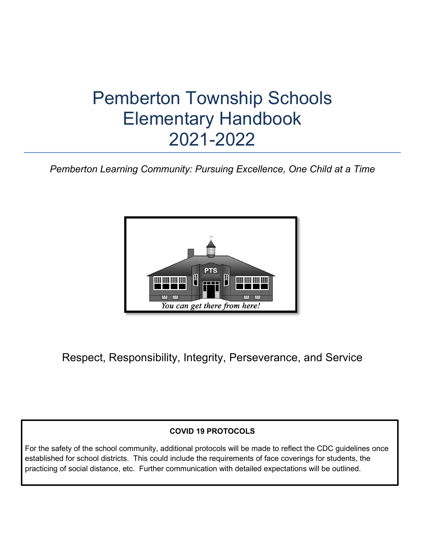# Pemberton Township Schools Elementary Handbook 2021-2022

*Pemberton Learning Community: Pursuing Excellence, One Child at a Time*



Respect, Responsibility, Integrity, Perseverance, and Service

## **COVID 19 PROTOCOLS**

For the safety of the school community, additional protocols will be made to reflect the CDC guidelines once established for school districts. This could include the requirements of face coverings for students, the practicing of social distance, etc. Further communication with detailed expectations will be outlined.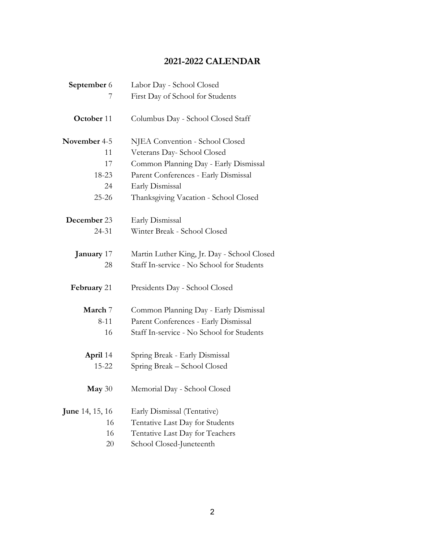## **2021-2022 CALENDAR**

| September 6<br>Labor Day - School Closed |                                             |
|------------------------------------------|---------------------------------------------|
| 7                                        | First Day of School for Students            |
| October 11                               | Columbus Day - School Closed Staff          |
| November 4-5                             | NJEA Convention - School Closed             |
| 11                                       | Veterans Day- School Closed                 |
| 17                                       | Common Planning Day - Early Dismissal       |
| 18-23                                    | Parent Conferences - Early Dismissal        |
| 24                                       | Early Dismissal                             |
| 25-26                                    | Thanksgiving Vacation - School Closed       |
| December 23                              | Early Dismissal                             |
| 24-31                                    | Winter Break - School Closed                |
| <b>January</b> 17                        | Martin Luther King, Jr. Day - School Closed |
| 28                                       | Staff In-service - No School for Students   |
| February 21                              | Presidents Day - School Closed              |
| March 7                                  | Common Planning Day - Early Dismissal       |
| $8 - 11$                                 | Parent Conferences - Early Dismissal        |
| 16                                       | Staff In-service - No School for Students   |
| <b>April</b> 14                          | Spring Break - Early Dismissal              |
| 15-22                                    | Spring Break - School Closed                |
| May $30$                                 | Memorial Day - School Closed                |
| <b>June 14, 15, 16</b>                   | Early Dismissal (Tentative)                 |
| 16                                       | Tentative Last Day for Students             |
| 16                                       | Tentative Last Day for Teachers             |
| 20                                       | School Closed-Juneteenth                    |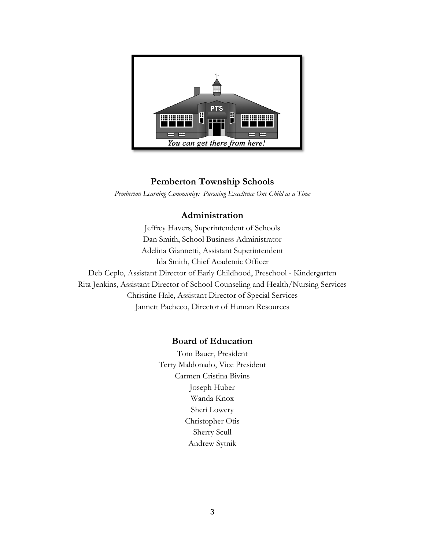

## **Pemberton Township Schools**

*Pemberton Learning Community: Pursuing Excellence One Child at a Time*

## **Administration**

Jeffrey Havers, Superintendent of Schools Dan Smith, School Business Administrator Adelina Giannetti, Assistant Superintendent Ida Smith, Chief Academic Officer Deb Ceplo, Assistant Director of Early Childhood, Preschool - Kindergarten Rita Jenkins, Assistant Director of School Counseling and Health/Nursing Services Christine Hale, Assistant Director of Special Services Jannett Pacheco, Director of Human Resources

## **Board of Education**

Tom Bauer, President Terry Maldonado, Vice President Carmen Cristina Bivins Joseph Huber Wanda Knox Sheri Lowery Christopher Otis Sherry Scull Andrew Sytnik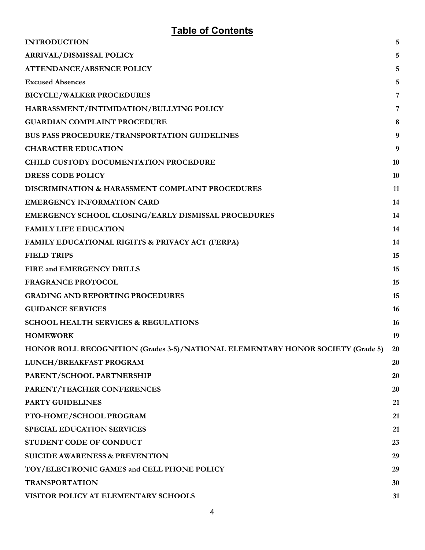## **Table of Contents**

| <b>INTRODUCTION</b>                                                             | 5              |
|---------------------------------------------------------------------------------|----------------|
| <b>ARRIVAL/DISMISSAL POLICY</b>                                                 | 5              |
| <b>ATTENDANCE/ABSENCE POLICY</b>                                                | 5              |
| <b>Excused Absences</b>                                                         | 5              |
| <b>BICYCLE/WALKER PROCEDURES</b>                                                | $\overline{7}$ |
| HARRASSMENT/INTIMIDATION/BULLYING POLICY                                        | 7              |
| <b>GUARDIAN COMPLAINT PROCEDURE</b>                                             | 8              |
| <b>BUS PASS PROCEDURE/TRANSPORTATION GUIDELINES</b>                             | 9              |
| <b>CHARACTER EDUCATION</b>                                                      | 9              |
| <b>CHILD CUSTODY DOCUMENTATION PROCEDURE</b>                                    | 10             |
| <b>DRESS CODE POLICY</b>                                                        | 10             |
| <b>DISCRIMINATION &amp; HARASSMENT COMPLAINT PROCEDURES</b>                     | 11             |
| <b>EMERGENCY INFORMATION CARD</b>                                               | 14             |
| <b>EMERGENCY SCHOOL CLOSING/EARLY DISMISSAL PROCEDURES</b>                      | 14             |
| <b>FAMILY LIFE EDUCATION</b>                                                    | 14             |
| <b>FAMILY EDUCATIONAL RIGHTS &amp; PRIVACY ACT (FERPA)</b>                      | 14             |
| <b>FIELD TRIPS</b>                                                              | 15             |
| FIRE and EMERGENCY DRILLS                                                       | 15             |
| <b>FRAGRANCE PROTOCOL</b>                                                       | 15             |
| <b>GRADING AND REPORTING PROCEDURES</b>                                         | 15             |
| <b>GUIDANCE SERVICES</b>                                                        | 16             |
| <b>SCHOOL HEALTH SERVICES &amp; REGULATIONS</b>                                 | <b>16</b>      |
| <b>HOMEWORK</b>                                                                 | 19             |
| HONOR ROLL RECOGNITION (Grades 3-5)/NATIONAL ELEMENTARY HONOR SOCIETY (Grade 5) | 20             |
| LUNCH/BREAKFAST PROGRAM                                                         | 20             |
| PARENT/SCHOOL PARTNERSHIP                                                       | 20             |
| PARENT/TEACHER CONFERENCES                                                      | 20             |
| <b>PARTY GUIDELINES</b>                                                         | 21             |
| PTO-HOME/SCHOOL PROGRAM                                                         | 21             |
| <b>SPECIAL EDUCATION SERVICES</b>                                               | 21             |
| STUDENT CODE OF CONDUCT                                                         | 23             |
| <b>SUICIDE AWARENESS &amp; PREVENTION</b>                                       | 29             |
| TOY/ELECTRONIC GAMES and CELL PHONE POLICY                                      | 29             |
| <b>TRANSPORTATION</b>                                                           | 30             |
| VISITOR POLICY AT ELEMENTARY SCHOOLS                                            | 31             |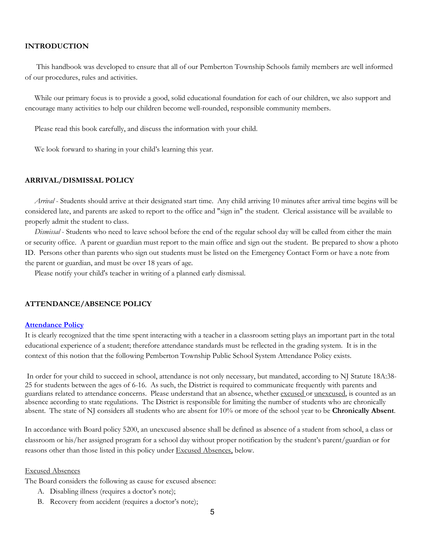#### <span id="page-4-0"></span>**INTRODUCTION**

 This handbook was developed to ensure that all of our Pemberton Township Schools family members are well informed of our procedures, rules and activities.

While our primary focus is to provide a good, solid educational foundation for each of our children, we also support and encourage many activities to help our children become well-rounded, responsible community members.

Please read this book carefully, and discuss the information with your child.

We look forward to sharing in your child's learning this year.

#### <span id="page-4-1"></span>**ARRIVAL/DISMISSAL POLICY**

 *Arrival* - Students should arrive at their designated start time. Any child arriving 10 minutes after arrival time begins will be considered late, and parents are asked to report to the office and "sign in" the student. Clerical assistance will be available to properly admit the student to class.

 *Dismissal* - Students who need to leave school before the end of the regular school day will be called from either the main or security office. A parent or guardian must report to the main office and sign out the student. Be prepared to show a photo ID. Persons other than parents who sign out students must be listed on the Emergency Contact Form or have a note from the parent or guardian, and must be over 18 years of age.

Please notify your child's teacher in writing of a planned early dismissal.

#### <span id="page-4-2"></span>**ATTENDANCE/ABSENCE POLICY**

#### **[Attendance Policy](https://www.straussesmay.com/seportal/Public/DistrictPolicy.aspx?policyid=5200&search=attendance&id=dbcfea39423746028f70325837bfa033)**

It is clearly recognized that the time spent interacting with a teacher in a classroom setting plays an important part in the total educational experience of a student; therefore attendance standards must be reflected in the grading system. It is in the context of this notion that the following Pemberton Township Public School System Attendance Policy exists.

In order for your child to succeed in school, attendance is not only necessary, but mandated, according to NJ Statute 18A:38- 25 for students between the ages of 6-16. As such, the District is required to communicate frequently with parents and guardians related to attendance concerns. Please understand that an absence, whether excused or unexcused, is counted as an absence according to state regulations. The District is responsible for limiting the number of students who are chronically absent. The state of NJ considers all students who are absent for 10% or more of the school year to be **Chronically Absent**.

In accordance with Board policy 5200, an unexcused absence shall be defined as absence of a student from school, a class or classroom or his/her assigned program for a school day without proper notification by the student's parent/guardian or for reasons other than those listed in this policy under Excused Absences, below.

#### <span id="page-4-3"></span>Excused Absences

The Board considers the following as cause for excused absence:

- A. Disabling illness (requires a doctor's note);
- B. Recovery from accident (requires a doctor's note);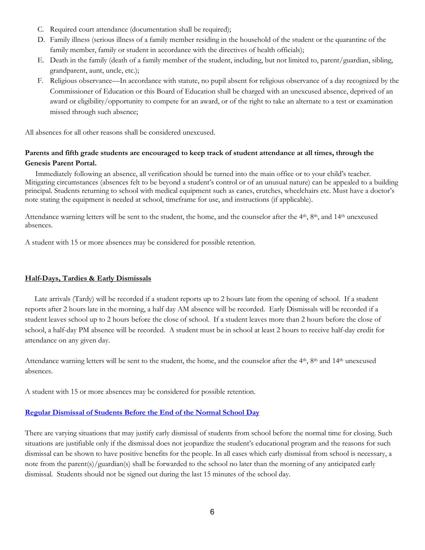- C. Required court attendance (documentation shall be required);
- D. Family illness (serious illness of a family member residing in the household of the student or the quarantine of the family member, family or student in accordance with the directives of health officials);
- E. Death in the family (death of a family member of the student, including, but not limited to, parent/guardian, sibling, grandparent, aunt, uncle, etc.);
- F. Religious observance—In accordance with statute, no pupil absent for religious observance of a day recognized by the Commissioner of Education or this Board of Education shall be charged with an unexcused absence, deprived of an award or eligibility/opportunity to compete for an award, or of the right to take an alternate to a test or examination missed through such absence;

All absences for all other reasons shall be considered unexcused.

## **Parents and fifth grade students are encouraged to keep track of student attendance at all times, through the Genesis Parent Portal.**

 Immediately following an absence, all verification should be turned into the main office or to your child's teacher. Mitigating circumstances (absences felt to be beyond a student's control or of an unusual nature) can be appealed to a building principal. Students returning to school with medical equipment such as canes, crutches, wheelchairs etc. Must have a doctor's note stating the equipment is needed at school, timeframe for use, and instructions (if applicable).

Attendance warning letters will be sent to the student, the home, and the counselor after the  $4<sup>th</sup>$ ,  $8<sup>th</sup>$ , and  $14<sup>th</sup>$  unexcused absences.

A student with 15 or more absences may be considered for possible retention.

## **Half-Days, Tardies & Early Dismissals**

 Late arrivals (Tardy) will be recorded if a student reports up to 2 hours late from the opening of school. If a student reports after 2 hours late in the morning, a half day AM absence will be recorded. Early Dismissals will be recorded if a student leaves school up to 2 hours before the close of school. If a student leaves more than 2 hours before the close of school, a half-day PM absence will be recorded. A student must be in school at least 2 hours to receive half-day credit for attendance on any given day.

Attendance warning letters will be sent to the student, the home, and the counselor after the  $4<sup>th</sup>$ ,  $8<sup>th</sup>$  and  $14<sup>th</sup>$  unexcused absences.

A student with 15 or more absences may be considered for possible retention.

## **[Regular Dismissal of Students Before the End of the Normal School Day](https://www.straussesmay.com/seportal/Public/DistrictPolicy.aspx?policyid=5230&search=early+dismissal&id=dbcfea39423746028f70325837bfa033)**

There are varying situations that may justify early dismissal of students from school before the normal time for closing. Such situations are justifiable only if the dismissal does not jeopardize the student's educational program and the reasons for such dismissal can be shown to have positive benefits for the people. In all cases which early dismissal from school is necessary, a note from the parent(s)/guardian(s) shall be forwarded to the school no later than the morning of any anticipated early dismissal. Students should not be signed out during the last 15 minutes of the school day.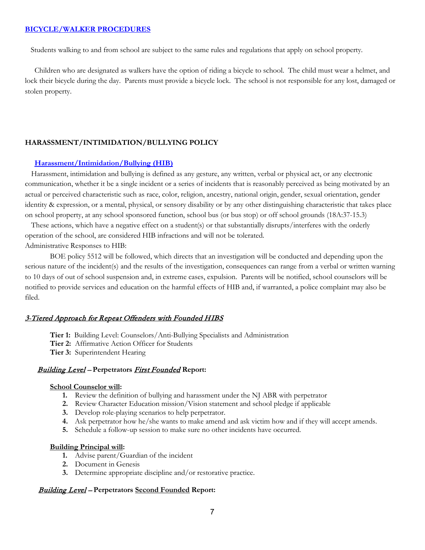#### <span id="page-6-0"></span>**[BICYCLE/WALKER PROCEDURES](https://www.straussesmay.com/seportal/Public/DistrictPolicy.aspx?policyid=5514&search=walker&id=dbcfea39423746028f70325837bfa033)**

Students walking to and from school are subject to the same rules and regulations that apply on school property.

 Children who are designated as walkers have the option of riding a bicycle to school. The child must wear a helmet, and lock their bicycle during the day. Parents must provide a bicycle lock. The school is not responsible for any lost, damaged or stolen property.

#### <span id="page-6-1"></span>**HARASSMENT/INTIMIDATION/BULLYING POLICY**

#### **[Harassment/Intimidation/Bullying \(HIB\)](https://www.straussesmay.com/seportal/Public/DistrictPolicy.aspx?policyid=5512&search=harassment&id=dbcfea39423746028f70325837bfa033)**

Harassment, intimidation and bullying is defined as any gesture, any written, verbal or physical act, or any electronic communication, whether it be a single incident or a series of incidents that is reasonably perceived as being motivated by an actual or perceived characteristic such as race, color, religion, ancestry, national origin, gender, sexual orientation, gender identity & expression, or a mental, physical, or sensory disability or by any other distinguishing characteristic that takes place on school property, at any school sponsored function, school bus (or bus stop) or off school grounds (18A:37-15.3)

These actions, which have a negative effect on a student(s) or that substantially disrupts/interferes with the orderly operation of the school, are considered HIB infractions and will not be tolerated. Administrative Responses to HIB:

BOE policy 5512 will be followed, which directs that an investigation will be conducted and depending upon the serious nature of the incident(s) and the results of the investigation, consequences can range from a verbal or written warning to 10 days of out of school suspension and, in extreme cases, expulsion. Parents will be notified, school counselors will be notified to provide services and education on the harmful effects of HIB and, if warranted, a police complaint may also be filed.

#### 3-Tiered Approach for Repeat Offenders with Founded HIBS

- **Tier 1:** Building Level: Counselors/Anti-Bullying Specialists and Administration
- **Tier 2:** Affirmative Action Officer for Students
- **Tier 3:** Superintendent Hearing

#### Building Level – **Perpetrators** First Founded **Report:**

#### **School Counselor will:**

- **1.** Review the definition of bullying and harassment under the NJ ABR with perpetrator
- **2.** Review Character Education mission/Vision statement and school pledge if applicable
- **3.** Develop role-playing scenarios to help perpetrator.
- **4.** Ask perpetrator how he/she wants to make amend and ask victim how and if they will accept amends.
- **5.** Schedule a follow-up session to make sure no other incidents have occurred.

#### **Building Principal will:**

- **1.** Advise parent/Guardian of the incident
- **2.** Document in Genesis
- **3.** Determine appropriate discipline and/or restorative practice.

#### Building Level – **Perpetrators Second Founded Report:**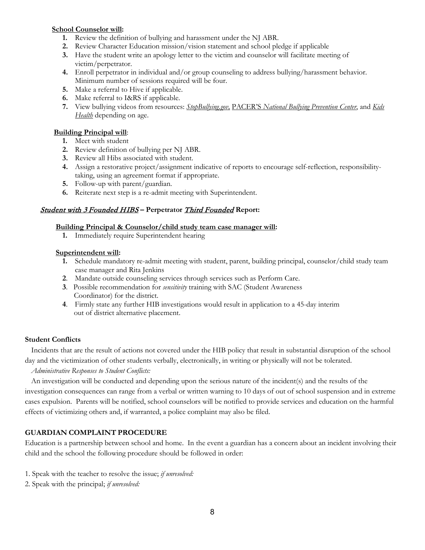## **School Counselor will:**

- **1.** Review the definition of bullying and harassment under the NJ ABR.
- **2.** Review Character Education mission/vision statement and school pledge if applicable
- **3.** Have the student write an apology letter to the victim and counselor will facilitate meeting of victim/perpetrator.
- **4.** Enroll perpetrator in individual and/or group counseling to address bullying/harassment behavior. Minimum number of sessions required will be four.
- **5.** Make a referral to Hive if applicable.
- **6.** Make referral to I&RS if applicable.
- **7.** View bullying videos from resources: *StopBullying.gov,* PACER'S *National Bullying Prevention Center*, and *Kids Health* depending on age.

## **Building Principal will**:

- **1.** Meet with student
- **2.** Review definition of bullying per NJ ABR.
- **3.** Review all Hibs associated with student.
- **4.** Assign a restorative project/assignment indicative of reports to encourage self-reflection, responsibilitytaking, using an agreement format if appropriate.
- **5.** Follow-up with parent/guardian.
- **6.** Reiterate next step is a re-admit meeting with Superintendent.

## Student with 3 Founded HIBS **– Perpetrator** Third Founded **Report:**

#### **Building Principal & Counselor/child study team case manager will:**

**1.** Immediately require Superintendent hearing

#### **Superintendent will:**

- **1.** Schedule mandatory re-admit meeting with student, parent, building principal, counselor/child study team case manager and Rita Jenkins
- **2**. Mandate outside counseling services through services such as Perform Care.
- **3**. Possible recommendation for *sensitivity* training with SAC (Student Awareness Coordinator) for the district.
- **4**. Firmly state any further HIB investigations would result in application to a 45-day interim out of district alternative placement.

## **Student Conflicts**

Incidents that are the result of actions not covered under the HIB policy that result in substantial disruption of the school day and the victimization of other students verbally, electronically, in writing or physically will not be tolerated.

## *Administrative Responses to Student Conflicts:*

An investigation will be conducted and depending upon the serious nature of the incident(s) and the results of the investigation consequences can range from a verbal or written warning to 10 days of out of school suspension and in extreme cases expulsion. Parents will be notified, school counselors will be notified to provide services and education on the harmful effects of victimizing others and, if warranted, a police complaint may also be filed.

## <span id="page-7-0"></span>**GUARDIAN COMPLAINT PROCEDURE**

Education is a partnership between school and home. In the event a guardian has a concern about an incident involving their child and the school the following procedure should be followed in order:

- 1. Speak with the teacher to resolve the issue; *if unresolved:*
- 2. Speak with the principal; *if unresolved:*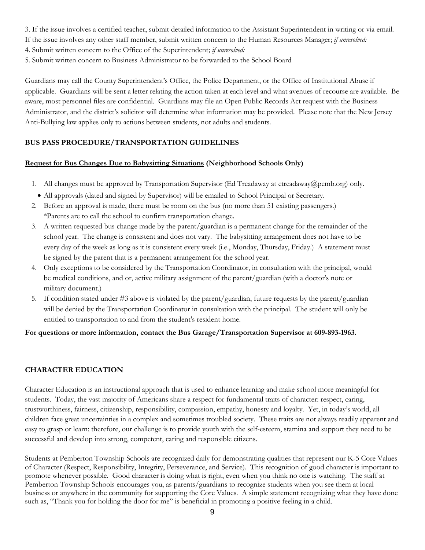- 3. If the issue involves a certified teacher, submit detailed information to the Assistant Superintendent in writing or via email.
- If the issue involves any other staff member, submit written concern to the Human Resources Manager; *if unresolved:*
- 4. Submit written concern to the Office of the Superintendent; *if unresolved:*
- 5. Submit written concern to Business Administrator to be forwarded to the School Board

Guardians may call the County Superintendent's Office, the Police Department, or the Office of Institutional Abuse if applicable. Guardians will be sent a letter relating the action taken at each level and what avenues of recourse are available. Be aware, most personnel files are confidential. Guardians may file an Open Public Records Act request with the Business Administrator, and the district's solicitor will determine what information may be provided. Please note that the New Jersey Anti-Bullying law applies only to actions between students, not adults and students.

## <span id="page-8-0"></span>**BUS PASS PROCEDURE/TRANSPORTATION GUIDELINES**

## **Request for Bus Changes Due to Babysitting Situations (Neighborhood Schools Only)**

- 1. All changes must be approved by Transportation Supervisor (Ed Treadaway at etreadaway@pemb.org) only.
- All approvals (dated and signed by Supervisor) will be emailed to School Principal or Secretary.
- 2. Before an approval is made, there must be room on the bus (no more than 51 existing passengers.) \*Parents are to call the school to confirm transportation change.
- 3. A written requested bus change made by the parent/guardian is a permanent change for the remainder of the school year. The change is consistent and does not vary. The babysitting arrangement does not have to be every day of the week as long as it is consistent every week (i.e., Monday, Thursday, Friday.) A statement must be signed by the parent that is a permanent arrangement for the school year.
- 4. Only exceptions to be considered by the Transportation Coordinator, in consultation with the principal, would be medical conditions, and or, active military assignment of the parent/guardian (with a doctor's note or military document.)
- 5. If condition stated under #3 above is violated by the parent/guardian, future requests by the parent/guardian will be denied by the Transportation Coordinator in consultation with the principal. The student will only be entitled to transportation to and from the student's resident home.

## **For questions or more information, contact the Bus Garage/Transportation Supervisor at 609-893-1963.**

## <span id="page-8-1"></span>**CHARACTER EDUCATION**

Character Education is an instructional approach that is used to enhance learning and make school more meaningful for students. Today, the vast majority of Americans share a respect for fundamental traits of character: respect, caring, trustworthiness, fairness, citizenship, responsibility, compassion, empathy, honesty and loyalty. Yet, in today's world, all children face great uncertainties in a complex and sometimes troubled society. These traits are not always readily apparent and easy to grasp or learn; therefore, our challenge is to provide youth with the self-esteem, stamina and support they need to be successful and develop into strong, competent, caring and responsible citizens.

Students at Pemberton Township Schools are recognized daily for demonstrating qualities that represent our K-5 Core Values of Character (Respect, Responsibility, Integrity, Perseverance, and Service). This recognition of good character is important to promote whenever possible. Good character is doing what is right, even when you think no one is watching. The staff at Pemberton Township Schools encourages you, as parents/guardians to recognize students when you see them at local business or anywhere in the community for supporting the Core Values. A simple statement recognizing what they have done such as, "Thank you for holding the door for me" is beneficial in promoting a positive feeling in a child.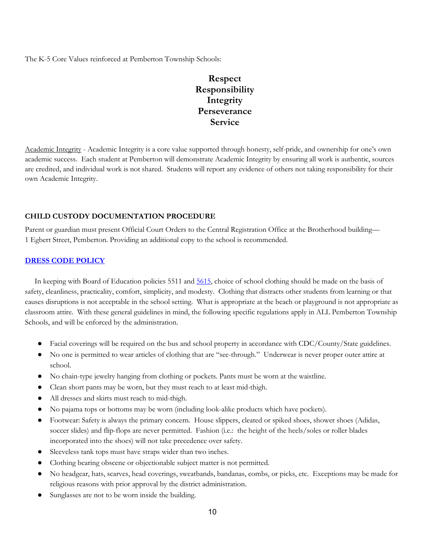The K-5 Core Values reinforced at Pemberton Township Schools:

## **Respect Responsibility Integrity Perseverance Service**

Academic Integrity - Academic Integrity is a core value supported through honesty, self-pride, and ownership for one's own academic success. Each student at Pemberton will demonstrate Academic Integrity by ensuring all work is authentic, sources are credited, and individual work is not shared. Students will report any evidence of others not taking responsibility for their own Academic Integrity.

## <span id="page-9-0"></span>**CHILD CUSTODY DOCUMENTATION PROCEDURE**

Parent or guardian must present Official Court Orders to the Central Registration Office at the Brotherhood building— 1 Egbert Street, Pemberton. Providing an additional copy to the school is recommended.

## <span id="page-9-1"></span>**[DRESS CODE POLICY](https://www.straussesmay.com/seportal/Public/DistrictPolicy.aspx?policyid=5511&search=dress+code&id=dbcfea39423746028f70325837bfa033)**

 In keeping with Board of Education policies 5511 and [5615,](https://www.straussesmay.com/seportal/Public/DistrictPolicy.aspx?policyid=5615&search=dress+code&id=dbcfea39423746028f70325837bfa033) choice of school clothing should be made on the basis of safety, cleanliness, practicality, comfort, simplicity, and modesty. Clothing that distracts other students from learning or that causes disruptions is not acceptable in the school setting. What is appropriate at the beach or playground is not appropriate as classroom attire. With these general guidelines in mind, the following specific regulations apply in ALL Pemberton Township Schools, and will be enforced by the administration.

- Facial coverings will be required on the bus and school property in accordance with CDC/County/State guidelines.
- No one is permitted to wear articles of clothing that are "see-through." Underwear is never proper outer attire at school.
- No chain-type jewelry hanging from clothing or pockets. Pants must be worn at the waistline.
- Clean short pants may be worn, but they must reach to at least mid-thigh.
- All dresses and skirts must reach to mid-thigh.
- No pajama tops or bottoms may be worn (including look-alike products which have pockets).
- Footwear: Safety is always the primary concern. House slippers, cleated or spiked shoes, shower shoes (Adidas, soccer slides) and flip-flops are never permitted. Fashion (i.e.: the height of the heels/soles or roller blades incorporated into the shoes) will not take precedence over safety.
- Sleeveless tank tops must have straps wider than two inches.
- Clothing bearing obscene or objectionable subject matter is not permitted.
- No headgear, hats, scarves, head coverings, sweatbands, bandanas, combs, or picks, etc. Exceptions may be made for religious reasons with prior approval by the district administration.
- Sunglasses are not to be worn inside the building.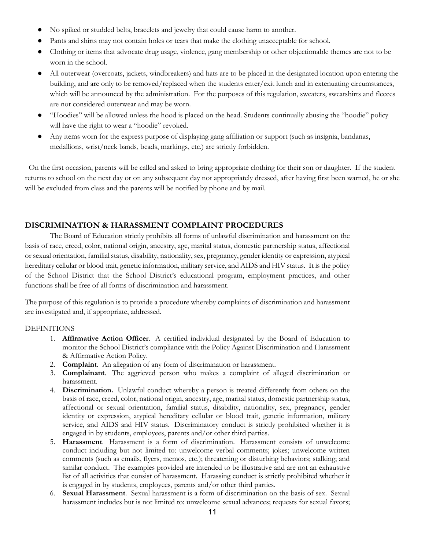- No spiked or studded belts, bracelets and jewelry that could cause harm to another.
- Pants and shirts may not contain holes or tears that make the clothing unacceptable for school.
- Clothing or items that advocate drug usage, violence, gang membership or other objectionable themes are not to be worn in the school.
- All outerwear (overcoats, jackets, windbreakers) and hats are to be placed in the designated location upon entering the building, and are only to be removed/replaced when the students enter/exit lunch and in extenuating circumstances, which will be announced by the administration. For the purposes of this regulation, sweaters, sweatshirts and fleeces are not considered outerwear and may be worn.
- "Hoodies" will be allowed unless the hood is placed on the head. Students continually abusing the "hoodie" policy will have the right to wear a "hoodie" revoked.
- Any items worn for the express purpose of displaying gang affiliation or support (such as insignia, bandanas, medallions, wrist/neck bands, beads, markings, etc.) are strictly forbidden.

 On the first occasion, parents will be called and asked to bring appropriate clothing for their son or daughter. If the student returns to school on the next day or on any subsequent day not appropriately dressed, after having first been warned, he or she will be excluded from class and the parents will be notified by phone and by mail.

## <span id="page-10-0"></span>**DISCRIMINATION & HARASSMENT COMPLAINT PROCEDURES**

The Board of Education strictly prohibits all forms of unlawful discrimination and harassment on the basis of race, creed, color, national origin, ancestry, age, marital status, domestic partnership status, affectional or sexual orientation, familial status, disability, nationality, sex, pregnancy, gender identity or expression, atypical hereditary cellular or blood trait, genetic information, military service, and AIDS and HIV status. It is the policy of the School District that the School District's educational program, employment practices, and other functions shall be free of all forms of discrimination and harassment.

The purpose of this regulation is to provide a procedure whereby complaints of discrimination and harassment are investigated and, if appropriate, addressed.

## DEFINITIONS

- 1. **Affirmative Action Officer**. A certified individual designated by the Board of Education to monitor the School District's compliance with the Policy Against Discrimination and Harassment & Affirmative Action Policy.
- 2. **Complaint**. An allegation of any form of discrimination or harassment.
- 3. **Complainant**. The aggrieved person who makes a complaint of alleged discrimination or harassment.
- 4. **Discrimination.** Unlawful conduct whereby a person is treated differently from others on the basis of race, creed, color, national origin, ancestry, age, marital status, domestic partnership status, affectional or sexual orientation, familial status, disability, nationality, sex, pregnancy, gender identity or expression, atypical hereditary cellular or blood trait, genetic information, military service, and AIDS and HIV status. Discriminatory conduct is strictly prohibited whether it is engaged in by students, employees, parents and/or other third parties.
- 5. **Harassment**. Harassment is a form of discrimination. Harassment consists of unwelcome conduct including but not limited to: unwelcome verbal comments; jokes; unwelcome written comments (such as emails, flyers, memos, etc.); threatening or disturbing behaviors; stalking; and similar conduct. The examples provided are intended to be illustrative and are not an exhaustive list of all activities that consist of harassment. Harassing conduct is strictly prohibited whether it is engaged in by students, employees, parents and/or other third parties.
- 6. **Sexual Harassment**. Sexual harassment is a form of discrimination on the basis of sex. Sexual harassment includes but is not limited to: unwelcome sexual advances; requests for sexual favors;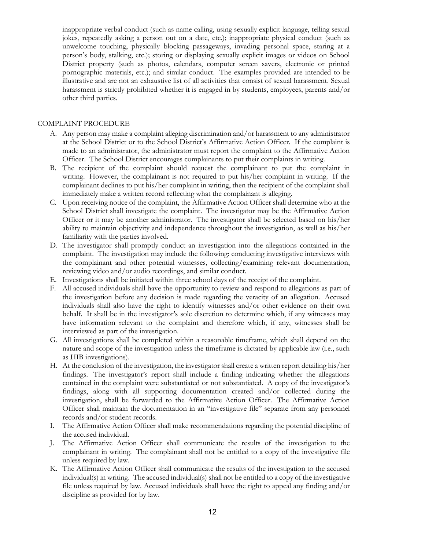inappropriate verbal conduct (such as name calling, using sexually explicit language, telling sexual jokes, repeatedly asking a person out on a date, etc.); inappropriate physical conduct (such as unwelcome touching, physically blocking passageways, invading personal space, staring at a person's body, stalking, etc.); storing or displaying sexually explicit images or videos on School District property (such as photos, calendars, computer screen savers, electronic or printed pornographic materials, etc.); and similar conduct. The examples provided are intended to be illustrative and are not an exhaustive list of all activities that consist of sexual harassment. Sexual harassment is strictly prohibited whether it is engaged in by students, employees, parents and/or other third parties.

#### COMPLAINT PROCEDURE

- A. Any person may make a complaint alleging discrimination and/or harassment to any administrator at the School District or to the School District's Affirmative Action Officer. If the complaint is made to an administrator, the administrator must report the complaint to the Affirmative Action Officer. The School District encourages complainants to put their complaints in writing.
- B. The recipient of the complaint should request the complainant to put the complaint in writing. However, the complainant is not required to put his/her complaint in writing. If the complainant declines to put his/her complaint in writing, then the recipient of the complaint shall immediately make a written record reflecting what the complainant is alleging.
- C. Upon receiving notice of the complaint, the Affirmative Action Officer shall determine who at the School District shall investigate the complaint. The investigator may be the Affirmative Action Officer or it may be another administrator. The investigator shall be selected based on his/her ability to maintain objectivity and independence throughout the investigation, as well as his/her familiarity with the parties involved.
- D. The investigator shall promptly conduct an investigation into the allegations contained in the complaint. The investigation may include the following: conducting investigative interviews with the complainant and other potential witnesses, collecting/examining relevant documentation, reviewing video and/or audio recordings, and similar conduct.
- E. Investigations shall be initiated within three school days of the receipt of the complaint.
- F. All accused individuals shall have the opportunity to review and respond to allegations as part of the investigation before any decision is made regarding the veracity of an allegation. Accused individuals shall also have the right to identify witnesses and/or other evidence on their own behalf. It shall be in the investigator's sole discretion to determine which, if any witnesses may have information relevant to the complaint and therefore which, if any, witnesses shall be interviewed as part of the investigation.
- G. All investigations shall be completed within a reasonable timeframe, which shall depend on the nature and scope of the investigation unless the timeframe is dictated by applicable law (i.e., such as HIB investigations).
- H. At the conclusion of the investigation, the investigator shall create a written report detailing his/her findings. The investigator's report shall include a finding indicating whether the allegations contained in the complaint were substantiated or not substantiated. A copy of the investigator's findings, along with all supporting documentation created and/or collected during the investigation, shall be forwarded to the Affirmative Action Officer. The Affirmative Action Officer shall maintain the documentation in an "investigative file" separate from any personnel records and/or student records.
- I. The Affirmative Action Officer shall make recommendations regarding the potential discipline of the accused individual.
- J. The Affirmative Action Officer shall communicate the results of the investigation to the complainant in writing. The complainant shall not be entitled to a copy of the investigative file unless required by law.
- K. The Affirmative Action Officer shall communicate the results of the investigation to the accused individual(s) in writing. The accused individual(s) shall not be entitled to a copy of the investigative file unless required by law. Accused individuals shall have the right to appeal any finding and/or discipline as provided for by law.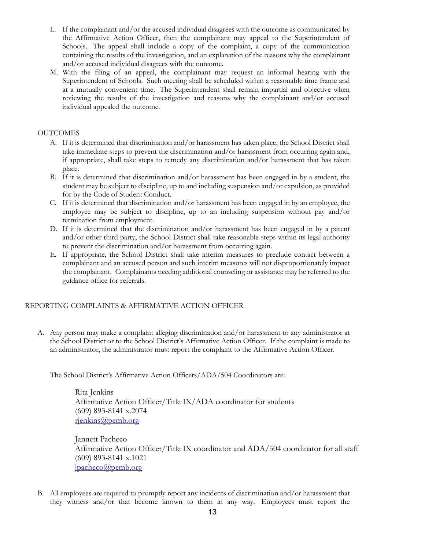- L. If the complainant and/or the accused individual disagrees with the outcome as communicated by the Affirmative Action Officer, then the complainant may appeal to the Superintendent of Schools. The appeal shall include a copy of the complaint, a copy of the communication containing the results of the investigation, and an explanation of the reasons why the complainant and/or accused individual disagrees with the outcome.
- M. With the filing of an appeal, the complainant may request an informal hearing with the Superintendent of Schools. Such meeting shall be scheduled within a reasonable time frame and at a mutually convenient time. The Superintendent shall remain impartial and objective when reviewing the results of the investigation and reasons why the complainant and/or accused individual appealed the outcome.

## **OUTCOMES**

- A. If it is determined that discrimination and/or harassment has taken place, the School District shall take immediate steps to prevent the discrimination and/or harassment from occurring again and, if appropriate, shall take steps to remedy any discrimination and/or harassment that has taken place.
- B. If it is determined that discrimination and/or harassment has been engaged in by a student, the student may be subject to discipline, up to and including suspension and/or expulsion, as provided for by the Code of Student Conduct.
- C. If it is determined that discrimination and/or harassment has been engaged in by an employee, the employee may be subject to discipline, up to an including suspension without pay and/or termination from employment.
- D. If it is determined that the discrimination and/or harassment has been engaged in by a parent and/or other third party, the School District shall take reasonable steps within its legal authority to prevent the discrimination and/or harassment from occurring again.
- E. If appropriate, the School District shall take interim measures to preclude contact between a complainant and an accused person and such interim measures will not disproportionately impact the complainant. Complainants needing additional counseling or assistance may be referred to the guidance office for referrals.

## REPORTING COMPLAINTS & AFFIRMATIVE ACTION OFFICER

A. Any person may make a complaint alleging discrimination and/or harassment to any administrator at the School District or to the School District's Affirmative Action Officer. If the complaint is made to an administrator, the administrator must report the complaint to the Affirmative Action Officer.

The School District's Affirmative Action Officers/ADA/504 Coordinators are:

Rita Jenkins Affirmative Action Officer/Title IX/ADA coordinator for students (609) 893-8141 x.2074 [rjenkins@pemb.org](mailto:rjenkins@pemb.org)

Jannett Pacheco Affirmative Action Officer/Title IX coordinator and ADA/504 coordinator for all staff (609) 893-8141 x.1021  $ipacheco@pemb.org$ 

B. All employees are required to promptly report any incidents of discrimination and/or harassment that they witness and/or that become known to them in any way. Employees must report the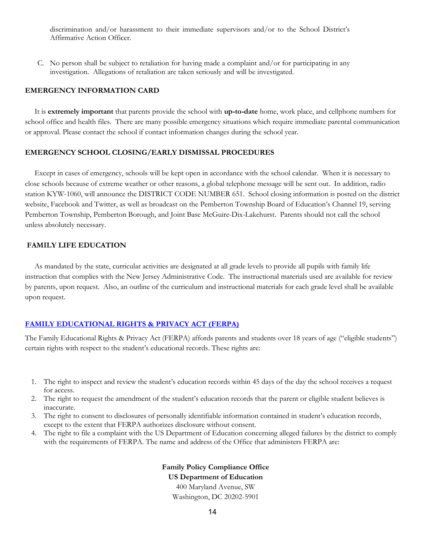discrimination and/or harassment to their immediate supervisors and/or to the School District's Affirmative Action Officer.

C. No person shall be subject to retaliation for having made a complaint and/or for participating in any investigation. Allegations of retaliation are taken seriously and will be investigated.

#### <span id="page-13-0"></span>**EMERGENCY INFORMATION CARD**

 It is **extremely important** that parents provide the school with **up-to-date** home, work place, and cellphone numbers for school office and health files. There are many possible emergency situations which require immediate parental communication or approval. Please contact the school if contact information changes during the school year.

#### <span id="page-13-1"></span>**EMERGENCY SCHOOL CLOSING/EARLY DISMISSAL PROCEDURES**

 Except in cases of emergency, schools will be kept open in accordance with the school calendar. When it is necessary to close schools because of extreme weather or other reasons, a global telephone message will be sent out. In addition, radio station KYW-1060, will announce the DISTRICT CODE NUMBER 651. School closing information is posted on the district website, Facebook and Twitter, as well as broadcast on the Pemberton Township Board of Education's Channel 19, serving Pemberton Township, Pemberton Borough, and Joint Base McGuire-Dix-Lakehurst. Parents should not call the school unless absolutely necessary.

#### <span id="page-13-2"></span>**FAMILY LIFE EDUCATION**

 As mandated by the state, curricular activities are designated at all grade levels to provide all pupils with family life instruction that complies with the New Jersey Administrative Code. The instructional materials used are available for review by parents, upon request. Also, an outline of the curriculum and instructional materials for each grade level shall be available upon request.

## <span id="page-13-3"></span>**[FAMILY EDUCATIONAL RIGHTS & PRIVACY ACT \(FERPA\)](https://www.straussesmay.com/seportal/Public/DistrictPolicy.aspx?policyid=8335&search=family+education&id=dbcfea39423746028f70325837bfa033)**

The Family Educational Rights & Privacy Act (FERPA) affords parents and students over 18 years of age ("eligible students") certain rights with respect to the student's educational records. These rights are:

- 1. The right to inspect and review the student's education records within 45 days of the day the school receives a request for access.
- 2. The right to request the amendment of the student's education records that the parent or eligible student believes is inaccurate.
- 3. The right to consent to disclosures of personally identifiable information contained in student's education records, except to the extent that FERPA authorizes disclosure without consent.
- 4. The right to file a complaint with the US Department of Education concerning alleged failures by the district to comply with the requirements of FERPA. The name and address of the Office that administers FERPA are:

**Family Policy Compliance Office US Department of Education** 400 Maryland Avenue, SW Washington, DC 20202-5901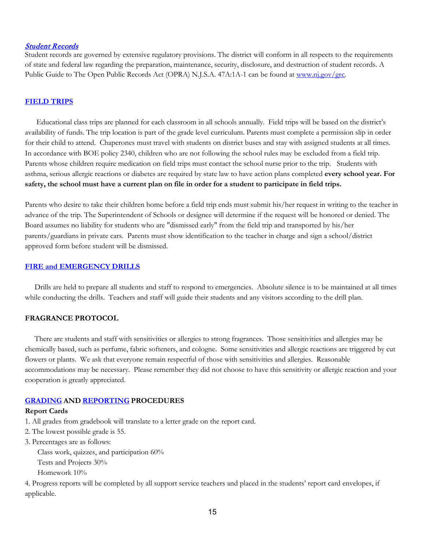#### [Student Records](https://www.straussesmay.com/seportal/Public/DistrictPolicy.aspx?policyid=8330&search=student+records&id=dbcfea39423746028f70325837bfa033)

Student records are governed by extensive regulatory provisions. The district will conform in all respects to the requirements of state and federal law regarding the preparation, maintenance, security, disclosure, and destruction of student records. A Public Guide to The Open Public Records Act (OPRA) N.J.S.A. 47A:1A-1 can be found at [www.nj.gov/grc.](http://www.nj.gov/grc)

#### <span id="page-14-0"></span>**[FIELD TRIPS](https://www.straussesmay.com/seportal/Public/DistrictPolicy.aspx?policyid=2340&search=field+trips&id=dbcfea39423746028f70325837bfa033)**

 Educational class trips are planned for each classroom in all schools annually. Field trips will be based on the district's availability of funds. The trip location is part of the grade level curriculum. Parents must complete a permission slip in order for their child to attend. Chaperones must travel with students on district buses and stay with assigned students at all times. In accordance with BOE policy 2340, children who are not following the school rules may be excluded from a field trip. Parents whose children require medication on field trips must contact the school nurse prior to the trip. Students with asthma, serious allergic reactions or diabetes are required by state law to have action plans completed **every school year. For safety, the school must have a current plan on file in order for a student to participate in field trips.** 

Parents who desire to take their children home before a field trip ends must submit his/her request in writing to the teacher in advance of the trip. The Superintendent of Schools or designee will determine if the request will be honored or denied. The Board assumes no liability for students who are "dismissed early" from the field trip and transported by his/her parents/guardians in private cars. Parents must show identification to the teacher in charge and sign a school/district approved form before student will be dismissed.

#### <span id="page-14-1"></span>**[FIRE and EMERGENCY DRILLS](https://www.straussesmay.com/seportal/Public/DistrictPolicy.aspx?policyid=8420&search=fire+and+emergency+drill&id=dbcfea39423746028f70325837bfa033)**

 Drills are held to prepare all students and staff to respond to emergencies. Absolute silence is to be maintained at all times while conducting the drills. Teachers and staff will guide their students and any visitors according to the drill plan.

### <span id="page-14-2"></span>**FRAGRANCE PROTOCOL**

 There are students and staff with sensitivities or allergies to strong fragrances. Those sensitivities and allergies may be chemically based, such as perfume, fabric softeners, and cologne. Some sensitivities and allergic reactions are triggered by cut flowers or plants. We ask that everyone remain respectful of those with sensitivities and allergies. Reasonable accommodations may be necessary. Please remember they did not choose to have this sensitivity or allergic reaction and your cooperation is greatly appreciated.

#### <span id="page-14-3"></span>**[GRADING](https://www.straussesmay.com/seportal/Public/DistrictPolicy.aspx?policyid=2624&search=grading+and+reporting+procedures&id=dbcfea39423746028f70325837bfa033) AND [REPORTING](https://www.straussesmay.com/seportal/Public/DistrictPolicy.aspx?policyid=5420&search=grading+and+reporting+procedures&id=dbcfea39423746028f70325837bfa033) PROCEDURES**

#### **Report Cards**

- 1. All grades from gradebook will translate to a letter grade on the report card.
- 2. The lowest possible grade is 55.
- 3. Percentages are as follows:

Class work, quizzes, and participation 60%

Tests and Projects 30%

Homework 10%

4. Progress reports will be completed by all support service teachers and placed in the students' report card envelopes, if applicable.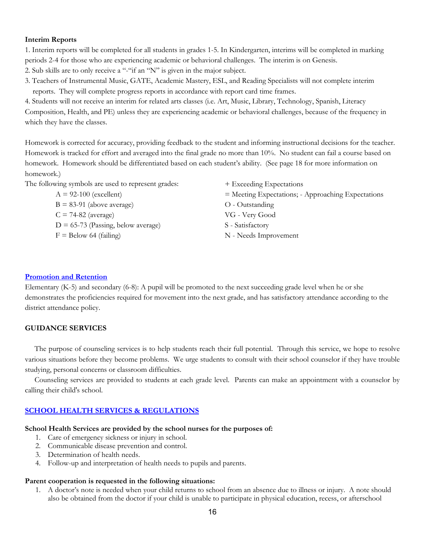#### **Interim Reports**

1. Interim reports will be completed for all students in grades 1-5. In Kindergarten, interims will be completed in marking periods 2-4 for those who are experiencing academic or behavioral challenges. The interim is on Genesis.

2. Sub skills are to only receive a "-"if an "N" is given in the major subject.

3. Teachers of Instrumental Music, GATE, Academic Mastery, ESL, and Reading Specialists will not complete interim reports. They will complete progress reports in accordance with report card time frames.

4. Students will not receive an interim for related arts classes (i.e. Art, Music, Library, Technology, Spanish, Literacy Composition, Health, and PE) unless they are experiencing academic or behavioral challenges, because of the frequency in which they have the classes.

Homework is corrected for accuracy, providing feedback to the student and informing instructional decisions for the teacher. Homework is tracked for effort and averaged into the final grade no more than 10%. No student can fail a course based on homework. Homework should be differentiated based on each student's ability. (See page 18 for more information on homework.)

The following symbols are used to represent grades:  $A = 92-100$  (excellent)  $B = 83-91$  (above average)  $C = 74-82$  (average)  $D = 65-73$  (Passing, below average)  $F =$  Below 64 (failing) + Exceeding Expectations = Meeting Expectations; - Approaching Expectations O - Outstanding VG - Very Good S - Satisfactory N - Needs Improvement

#### **[Promotion and Retention](https://www.straussesmay.com/seportal/Public/DistrictPolicy.aspx?policyid=5410&search=promotion+and+retention&id=dbcfea39423746028f70325837bfa033)**

Elementary (K-5) and secondary (6-8): A pupil will be promoted to the next succeeding grade level when he or she demonstrates the proficiencies required for movement into the next grade, and has satisfactory attendance according to the district attendance policy.

#### <span id="page-15-0"></span>**GUIDANCE SERVICES**

 The purpose of counseling services is to help students reach their full potential. Through this service, we hope to resolve various situations before they become problems. We urge students to consult with their school counselor if they have trouble studying, personal concerns or classroom difficulties.

 Counseling services are provided to students at each grade level. Parents can make an appointment with a counselor by calling their child's school.

#### <span id="page-15-1"></span>**[SCHOOL HEALTH SERVICES & REGULATIONS](https://www.straussesmay.com/seportal/Public/DistrictPolicy.aspx?policyid=5310&search=school+health+services&id=dbcfea39423746028f70325837bfa033)**

#### **School Health Services are provided by the school nurses for the purposes of:**

- 1. Care of emergency sickness or injury in school.
- 2. Communicable disease prevention and control.
- 3. Determination of health needs.
- 4. Follow-up and interpretation of health needs to pupils and parents.

#### **Parent cooperation is requested in the following situations:**

1. A doctor's note is needed when your child returns to school from an absence due to illness or injury. A note should also be obtained from the doctor if your child is unable to participate in physical education, recess, or afterschool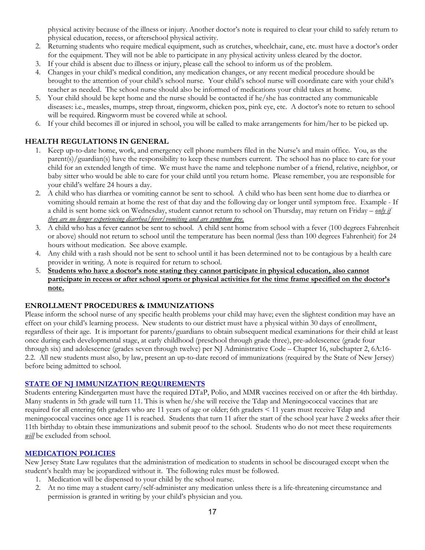physical activity because of the illness or injury. Another doctor's note is required to clear your child to safely return to physical education, recess, or afterschool physical activity.

- 2. Returning students who require medical equipment, such as crutches, wheelchair, cane, etc. must have a doctor's order for the equipment. They will not be able to participate in any physical activity unless cleared by the doctor.
- 3. If your child is absent due to illness or injury, please call the school to inform us of the problem.
- 4. Changes in your child's medical condition, any medication changes, or any recent medical procedure should be brought to the attention of your child's school nurse. Your child's school nurse will coordinate care with your child's teacher as needed. The school nurse should also be informed of medications your child takes at home.
- 5. Your child should be kept home and the nurse should be contacted if he/she has contracted any communicable diseases: i.e., measles, mumps, strep throat, ringworm, chicken pox, pink eye, etc. A doctor's note to return to school will be required. Ringworm must be covered while at school.
- 6. If your child becomes ill or injured in school, you will be called to make arrangements for him/her to be picked up.

## **HEALTH REGULATIONS IN GENERAL**

- 1. Keep up-to-date home, work, and emergency cell phone numbers filed in the Nurse's and main office. You, as the parent(s)/guardian(s) have the responsibility to keep these numbers current. The school has no place to care for your child for an extended length of time. We must have the name and telephone number of a friend, relative, neighbor, or baby sitter who would be able to care for your child until you return home. Please remember, you are responsible for your child's welfare 24 hours a day.
- 2. A child who has diarrhea or vomiting cannot be sent to school. A child who has been sent home due to diarrhea or vomiting should remain at home the rest of that day and the following day or longer until symptom free. Example - If a child is sent home sick on Wednesday, student cannot return to school on Thursday, may return on Friday – *only if they are no longer experiencing diarrhea/fever/vomiting and are symptom free.*
- 3. A child who has a fever cannot be sent to school. A child sent home from school with a fever (100 degrees Fahrenheit or above) should not return to school until the temperature has been normal (less than 100 degrees Fahrenheit) for 24 hours without medication. See above example.
- 4. Any child with a rash should not be sent to school until it has been determined not to be contagious by a health care provider in writing. A note is required for return to school.
- 5. **Students who have a doctor's note stating they cannot participate in physical education, also cannot participate in recess or after school sports or physical activities for the time frame specified on the doctor's note.**

## **ENROLLMENT PROCEDURES & IMMUNIZATIONS**

Please inform the school nurse of any specific health problems your child may have; even the slightest condition may have an effect on your child's learning process. New students to our district must have a physical within 30 days of enrollment, regardless of their age. It is important for parents/guardians to obtain subsequent medical examinations for their child at least once during each developmental stage, at early childhood (preschool through grade three), pre-adolescence (grade four through six) and adolescence (grades seven through twelve) per NJ Administrative Code – Chapter 16, subchapter 2, 6A:16- 2.2. All new students must also, by law, present an up-to-date record of immunizations (required by the State of New Jersey) before being admitted to school.

## **[STATE OF NJ IMMUNIZATION REQUIREMENTS](https://www.straussesmay.com/seportal/Public/DistrictPolicy.aspx?policyid=5320&search=immunizations&id=dbcfea39423746028f70325837bfa033)**

Students entering Kindergarten must have the required DTaP, Polio, and MMR vaccines received on or after the 4th birthday. Many students in 5th grade will turn 11. This is when he/she will receive the Tdap and Meningococcal vaccines that are required for all entering 6th graders who are 11 years of age or older; 6th graders < 11 years must receive Tdap and meningococcal vaccines once age 11 is reached. Students that turn 11 after the start of the school year have 2 weeks after their 11th birthday to obtain these immunizations and submit proof to the school. Students who do not meet these requirements *will* be excluded from school.

## **[MEDICATION POLICIES](https://www.straussesmay.com/seportal/Public/DistrictPolicy.aspx?policyid=5330&search=medication+policy&id=dbcfea39423746028f70325837bfa033)**

New Jersey State Law regulates that the administration of medication to students in school be discouraged except when the student's health may be jeopardized without it. The following rules must be followed.

- 1. Medication will be dispensed to your child by the school nurse.
- 2. At no time may a student carry/self-administer any medication unless there is a life-threatening circumstance and permission is granted in writing by your child's physician and you.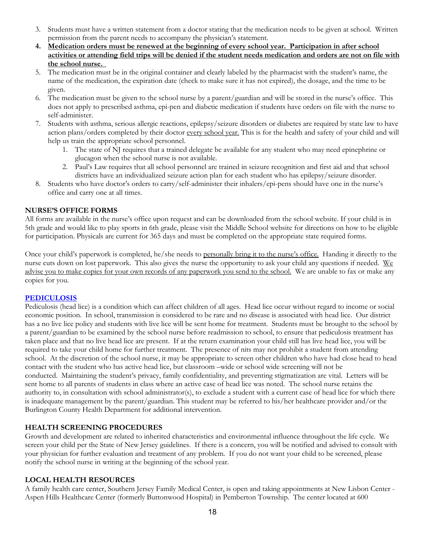- 3. Students must have a written statement from a doctor stating that the medication needs to be given at school. Written permission from the parent needs to accompany the physician's statement.
- **4. Medication orders must be renewed at the beginning of every school year. Participation in after school activities or attending field trips will be denied if the student needs medication and orders are not on file with the school nurse.**
- 5. The medication must be in the original container and clearly labeled by the pharmacist with the student's name, the name of the medication, the expiration date (check to make sure it has not expired), the dosage, and the time to be given.
- 6. The medication must be given to the school nurse by a parent/guardian and will be stored in the nurse's office. This does not apply to prescribed asthma, epi-pen and diabetic medication if students have orders on file with the nurse to self-administer.
- 7. Students with asthma, serious allergic reactions, epilepsy/seizure disorders or diabetes are required by state law to have action plans/orders completed by their doctor every school year. This is for the health and safety of your child and will help us train the appropriate school personnel.
	- 1. The state of NJ requires that a trained delegate be available for any student who may need epinephrine or glucagon when the school nurse is not available.
	- 2. Paul's Law requires that all school personnel are trained in seizure recognition and first aid and that school districts have an individualized seizure action plan for each student who has epilepsy/seizure disorder.
- 8. Students who have doctor's orders to carry/self-administer their inhalers/epi-pens should have one in the nurse's office and carry one at all times.

## **NURSE'S OFFICE FORMS**

All forms are available in the nurse's office upon request and can be downloaded from the school website. If your child is in 5th grade and would like to play sports in 6th grade, please visit the Middle School website for directions on how to be eligible for participation. Physicals are current for 365 days and must be completed on the appropriate state required forms.

Once your child's paperwork is completed, he/she needs to personally bring it to the nurse's office. Handing it directly to the nurse cuts down on lost paperwork. This also gives the nurse the opportunity to ask your child any questions if needed. We advise you to make copies for your own records of any paperwork you send to the school. We are unable to fax or make any copies for you.

## **[PEDICULOSIS](https://www.straussesmay.com/seportal/Public/DistrictPolicy.aspx?policyid=8454&search=pediculosis&id=dbcfea39423746028f70325837bfa033)**

Pediculosis (head lice) is a condition which can affect children of all ages. Head lice occur without regard to income or social economic position. In school, transmission is considered to be rare and no disease is associated with head lice. Our district has a no live lice policy and students with live lice will be sent home for treatment. Students must be brought to the school by a parent/guardian to be examined by the school nurse before readmission to school, to ensure that pediculosis treatment has taken place and that no live head lice are present. If at the return examination your child still has live head lice, you will be required to take your child home for further treatment. The presence of nits may not prohibit a student from attending school. At the discretion of the school nurse, it may be appropriate to screen other children who have had close head to head contact with the student who has active head lice, but classroom –wide or school wide screening will not be conducted. Maintaining the student's privacy, family confidentiality, and preventing stigmatization are vital. Letters will be sent home to all parents of students in class where an active case of head lice was noted. The school nurse retains the authority to, in consultation with school administrator(s), to exclude a student with a current case of head lice for which there is inadequate management by the parent/guardian. This student may be referred to his/her healthcare provider and/or the Burlington County Health Department for additional intervention.

## **HEALTH SCREENING PROCEDURES**

Growth and development are related to inherited characteristics and environmental influence throughout the life cycle. We screen your child per the State of New Jersey guidelines. If there is a concern, you will be notified and advised to consult with your physician for further evaluation and treatment of any problem. If you do not want your child to be screened, please notify the school nurse in writing at the beginning of the school year.

## **LOCAL HEALTH RESOURCES**

A family health care center, Southern Jersey Family Medical Center, is open and taking appointments at New Lisbon Center - Aspen Hills Healthcare Center (formerly Buttonwood Hospital) in Pemberton Township. The center located at 600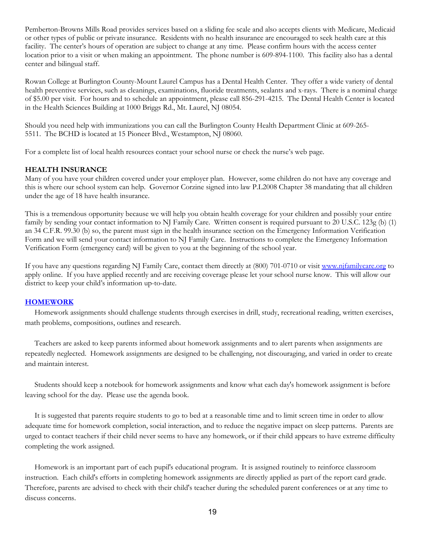Pemberton-Browns Mills Road provides services based on a sliding fee scale and also accepts clients with Medicare, Medicaid or other types of public or private insurance. Residents with no health insurance are encouraged to seek health care at this facility. The center's hours of operation are subject to change at any time. Please confirm hours with the access center location prior to a visit or when making an appointment. The phone number is 609-894-1100. This facility also has a dental center and bilingual staff.

Rowan College at Burlington County-Mount Laurel Campus has a Dental Health Center. They offer a wide variety of dental health preventive services, such as cleanings, examinations, fluoride treatments, sealants and x-rays. There is a nominal charge of \$5.00 per visit. For hours and to schedule an appointment, please call 856-291-4215. The Dental Health Center is located in the Health Sciences Building at 1000 Briggs Rd., Mt. Laurel, NJ 08054.

Should you need help with immunizations you can call the Burlington County Health Department Clinic at 609-265- 5511. The BCHD is located at 15 Pioneer Blvd., Westampton, NJ 08060.

For a complete list of local health resources contact your school nurse or check the nurse's web page.

#### **HEALTH INSURANCE**

Many of you have your children covered under your employer plan. However, some children do not have any coverage and this is where our school system can help. Governor Corzine signed into law P.L2008 Chapter 38 mandating that all children under the age of 18 have health insurance.

This is a tremendous opportunity because we will help you obtain health coverage for your children and possibly your entire family by sending your contact information to NJ Family Care. Written consent is required pursuant to 20 U.S.C. 123g (b) (1) an 34 C.F.R. 99.30 (b) so, the parent must sign in the health insurance section on the Emergency Information Verification Form and we will send your contact information to NJ Family Care. Instructions to complete the Emergency Information Verification Form (emergency card) will be given to you at the beginning of the school year.

If you have any questions regarding NJ Family Care, contact them directly at (800) 701-0710 or visi[t www.njfamilycare.org](http://www.njfamilycare.org/) to apply online. If you have applied recently and are receiving coverage please let your school nurse know. This will allow our district to keep your child's information up-to-date.

#### <span id="page-18-0"></span>**[HOMEWORK](https://www.straussesmay.com/seportal/Public/DistrictPolicy.aspx?policyid=2330&search=homework&id=dbcfea39423746028f70325837bfa033)**

 Homework assignments should challenge students through exercises in drill, study, recreational reading, written exercises, math problems, compositions, outlines and research.

 Teachers are asked to keep parents informed about homework assignments and to alert parents when assignments are repeatedly neglected. Homework assignments are designed to be challenging, not discouraging, and varied in order to create and maintain interest.

 Students should keep a notebook for homework assignments and know what each day's homework assignment is before leaving school for the day. Please use the agenda book.

 It is suggested that parents require students to go to bed at a reasonable time and to limit screen time in order to allow adequate time for homework completion, social interaction, and to reduce the negative impact on sleep patterns. Parents are urged to contact teachers if their child never seems to have any homework, or if their child appears to have extreme difficulty completing the work assigned.

 Homework is an important part of each pupil's educational program. It is assigned routinely to reinforce classroom instruction. Each child's efforts in completing homework assignments are directly applied as part of the report card grade. Therefore, parents are advised to check with their child's teacher during the scheduled parent conferences or at any time to discuss concerns.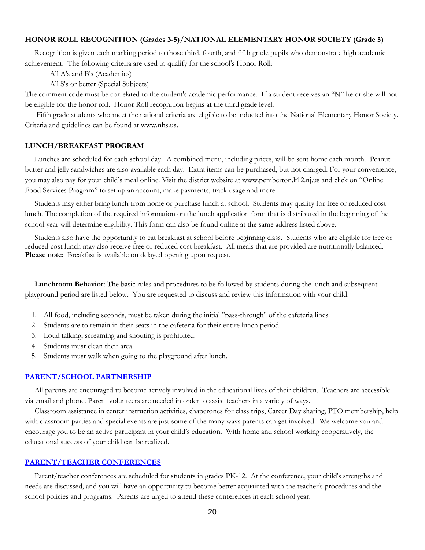#### <span id="page-19-0"></span>**HONOR ROLL RECOGNITION (Grades 3-5)/NATIONAL ELEMENTARY HONOR SOCIETY (Grade 5)**

Recognition is given each marking period to those third, fourth, and fifth grade pupils who demonstrate high academic achievement. The following criteria are used to qualify for the school's Honor Roll:

All A's and B's (Academics)

All S's or better (Special Subjects)

The comment code must be correlated to the student's academic performance. If a student receives an "N" he or she will not be eligible for the honor roll. Honor Roll recognition begins at the third grade level.

 Fifth grade students who meet the national criteria are eligible to be inducted into the National Elementary Honor Society. Criteria and guidelines can be found at www.nhs.us.

#### <span id="page-19-1"></span>**LUNCH/BREAKFAST PROGRAM**

 Lunches are scheduled for each school day. A combined menu, including prices, will be sent home each month. Peanut butter and jelly sandwiches are also available each day. Extra items can be purchased, but not charged. For your convenience, you may also pay for your child's meal online. Visit the district website at www.pemberton.k12.nj.us and click on "Online Food Services Program" to set up an account, make payments, track usage and more.

 Students may either bring lunch from home or purchase lunch at school. Students may qualify for free or reduced cost lunch. The completion of the required information on the lunch application form that is distributed in the beginning of the school year will determine eligibility. This form can also be found online at the same address listed above.

 Students also have the opportunity to eat breakfast at school before beginning class. Students who are eligible for free or reduced cost lunch may also receive free or reduced cost breakfast. All meals that are provided are nutritionally balanced. **Please note:** Breakfast is available on delayed opening upon request.

 **Lunchroom Behavior**: The basic rules and procedures to be followed by students during the lunch and subsequent playground period are listed below. You are requested to discuss and review this information with your child.

- 1. All food, including seconds, must be taken during the initial "pass-through" of the cafeteria lines.
- 2. Students are to remain in their seats in the cafeteria for their entire lunch period.
- 3. Loud talking, screaming and shouting is prohibited.
- 4. Students must clean their area.
- 5. Students must walk when going to the playground after lunch.

#### <span id="page-19-2"></span>**[PARENT/SCHOOL PARTNERSHIP](https://www.straussesmay.com/seportal/Public/DistrictPolicy.aspx?policyid=9205&search=parent+school+partnership&id=dbcfea39423746028f70325837bfa033)**

 All parents are encouraged to become actively involved in the educational lives of their children. Teachers are accessible via email and phone. Parent volunteers are needed in order to assist teachers in a variety of ways.

 Classroom assistance in center instruction activities, chaperones for class trips, Career Day sharing, PTO membership, help with classroom parties and special events are just some of the many ways parents can get involved. We welcome you and encourage you to be an active participant in your child's education. With home and school working cooperatively, the educational success of your child can be realized.

#### <span id="page-19-3"></span>**[PARENT/TEACHER CONFERENCES](https://www.straussesmay.com/seportal/Public/DistrictPolicy.aspx?policyid=9280&search=parent+teacher+conferences&id=dbcfea39423746028f70325837bfa033)**

 Parent/teacher conferences are scheduled for students in grades PK-12. At the conference, your child's strengths and needs are discussed, and you will have an opportunity to become better acquainted with the teacher's procedures and the school policies and programs. Parents are urged to attend these conferences in each school year.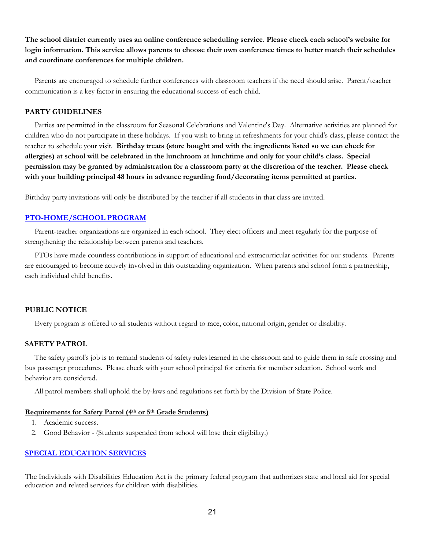**The school district currently uses an online conference scheduling service. Please check each school's website for login information. This service allows parents to choose their own conference times to better match their schedules and coordinate conferences for multiple children.**

 Parents are encouraged to schedule further conferences with classroom teachers if the need should arise. Parent/teacher communication is a key factor in ensuring the educational success of each child.

## <span id="page-20-0"></span>**PARTY GUIDELINES**

 Parties are permitted in the classroom for Seasonal Celebrations and Valentine's Day. Alternative activities are planned for children who do not participate in these holidays. If you wish to bring in refreshments for your child's class, please contact the teacher to schedule your visit. **Birthday treats (store bought and with the ingredients listed so we can check for allergies) at school will be celebrated in the lunchroom at lunchtime and only for your child's class. Special permission may be granted by administration for a classroom party at the discretion of the teacher. Please check with your building principal 48 hours in advance regarding food/decorating items permitted at parties.**

Birthday party invitations will only be distributed by the teacher if all students in that class are invited.

#### <span id="page-20-1"></span>**[PTO-HOME/SCHOOL PROGRAM](https://www.straussesmay.com/seportal/Public/DistrictPolicy.aspx?policyid=9210&search=pto&id=dbcfea39423746028f70325837bfa033)**

 Parent-teacher organizations are organized in each school. They elect officers and meet regularly for the purpose of strengthening the relationship between parents and teachers.

 PTOs have made countless contributions in support of educational and extracurricular activities for our students. Parents are encouraged to become actively involved in this outstanding organization. When parents and school form a partnership, each individual child benefits.

#### **PUBLIC NOTICE**

Every program is offered to all students without regard to race, color, national origin, gender or disability.

## **SAFETY PATROL**

 The safety patrol's job is to remind students of safety rules learned in the classroom and to guide them in safe crossing and bus passenger procedures. Please check with your school principal for criteria for member selection. School work and behavior are considered.

All patrol members shall uphold the by-laws and regulations set forth by the Division of State Police.

#### **Requirements for Safety Patrol (4th or 5th Grade Students)**

- 1. Academic success.
- 2. Good Behavior (Students suspended from school will lose their eligibility.)

#### <span id="page-20-2"></span>**[SPECIAL EDUCATION SERVICES](https://www.straussesmay.com/seportal/Public/DistrictPolicy.aspx?policyid=2460&search=special+education+services&id=dbcfea39423746028f70325837bfa033)**

The Individuals with Disabilities Education Act is the primary federal program that authorizes state and local aid for special education and related services for children with disabilities.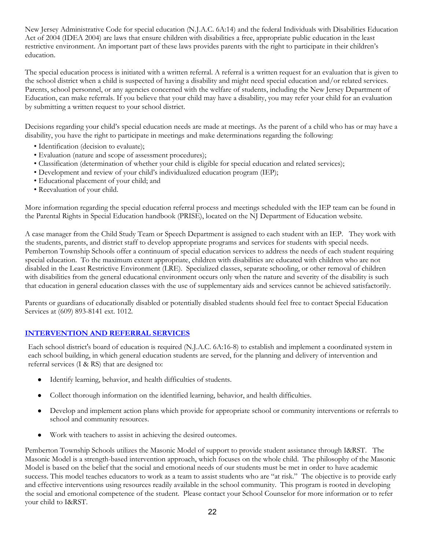New Jersey Administrative Code for special education (N.J.A.C. 6A:14) and the federal Individuals with Disabilities Education Act of 2004 (IDEA 2004) are laws that ensure children with disabilities a free, appropriate public education in the least restrictive environment. An important part of these laws provides parents with the right to participate in their children's education.

The special education process is initiated with a written referral. A referral is a written request for an evaluation that is given to the school district when a child is suspected of having a disability and might need special education and/or related services. Parents, school personnel, or any agencies concerned with the welfare of students, including the New Jersey Department of Education, can make referrals. If you believe that your child may have a disability, you may refer your child for an evaluation by submitting a written request to your school district.

Decisions regarding your child's special education needs are made at meetings. As the parent of a child who has or may have a disability, you have the right to participate in meetings and make determinations regarding the following:

- Identification (decision to evaluate);
- Evaluation (nature and scope of assessment procedures);
- Classification (determination of whether your child is eligible for special education and related services);
- Development and review of your child's individualized education program (IEP);
- Educational placement of your child; and
- Reevaluation of your child.

More information regarding the special education referral process and meetings scheduled with the IEP team can be found in the Parental Rights in Special Education handbook (PRISE), located on the NJ Department of Education website.

A case manager from the Child Study Team or Speech Department is assigned to each student with an IEP. They work with the students, parents, and district staff to develop appropriate programs and services for students with special needs. Pemberton Township Schools offer a continuum of special education services to address the needs of each student requiring special education. To the maximum extent appropriate, children with disabilities are educated with children who are not disabled in the Least Restrictive Environment (LRE). Specialized classes, separate schooling, or other removal of children with disabilities from the general educational environment occurs only when the nature and severity of the disability is such that education in general education classes with the use of supplementary aids and services cannot be achieved satisfactorily.

Parents or guardians of educationally disabled or potentially disabled students should feel free to contact Special Education Services at (609) 893-8141 ext. 1012.

## **[INTERVENTION AND REFERRAL SERVICES](https://www.straussesmay.com/seportal/Public/DistrictPolicy.aspx?policyid=2417&search=intervention+and+referral+services&id=dbcfea39423746028f70325837bfa033)**

Each school district's board of education is required (N.J.A.C. 6A:16-8) to establish and implement a coordinated system in each school building, in which general education students are served, for the planning and delivery of intervention and referral services (I & RS) that are designed to:

- Identify learning, behavior, and health difficulties of students.
- Collect thorough information on the identified learning, behavior, and health difficulties.
- Develop and implement action plans which provide for appropriate school or community interventions or referrals to school and community resources.
- Work with teachers to assist in achieving the desired outcomes.

Pemberton Township Schools utilizes the Masonic Model of support to provide student assistance through I&RST. The Masonic Model is a strength-based intervention approach, which focuses on the whole child. The philosophy of the Masonic Model is based on the belief that the social and emotional needs of our students must be met in order to have academic success. This model teaches educators to work as a team to assist students who are "at risk." The objective is to provide early and effective interventions using resources readily available in the school community. This program is rooted in developing the social and emotional competence of the student. Please contact your School Counselor for more information or to refer your child to I&RST.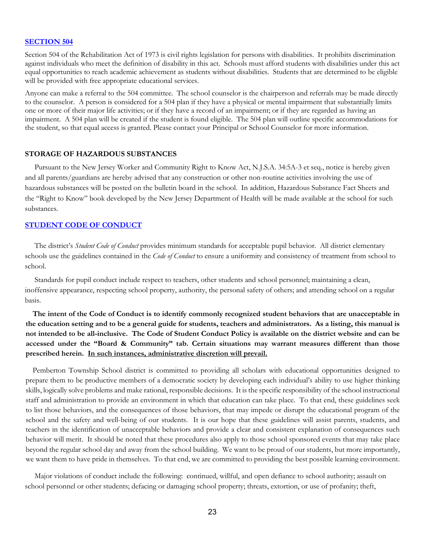#### **[SECTION 504](https://www.straussesmay.com/seportal/Public/DistrictPolicy.aspx?policyid=2418&search=section+504&id=dbcfea39423746028f70325837bfa033)**

Section 504 of the Rehabilitation Act of 1973 is civil rights legislation for persons with disabilities. It prohibits discrimination against individuals who meet the definition of disability in this act. Schools must afford students with disabilities under this act equal opportunities to reach academic achievement as students without disabilities. Students that are determined to be eligible will be provided with free appropriate educational services.

Anyone can make a referral to the 504 committee. The school counselor is the chairperson and referrals may be made directly to the counselor. A person is considered for a 504 plan if they have a physical or mental impairment that substantially limits one or more of their major life activities; or if they have a record of an impairment; or if they are regarded as having an impairment. A 504 plan will be created if the student is found eligible. The 504 plan will outline specific accommodations for the student, so that equal access is granted. Please contact your Principal or School Counselor for more information.

#### **STORAGE OF HAZARDOUS SUBSTANCES**

 Pursuant to the New Jersey Worker and Community Right to Know Act, N.J.S.A. 34:5A-3 et seq., notice is hereby given and all parents/guardians are hereby advised that any construction or other non-routine activities involving the use of hazardous substances will be posted on the bulletin board in the school. In addition, Hazardous Substance Fact Sheets and the "Right to Know" book developed by the New Jersey Department of Health will be made available at the school for such substances.

## <span id="page-22-0"></span>**[STUDENT CODE OF CONDUCT](https://www.straussesmay.com/seportal/Public/DistrictPolicy.aspx?policyid=5600&search=student+code+of+conduct&id=dbcfea39423746028f70325837bfa033)**

 The district's *Student Code of Conduct* provides minimum standards for acceptable pupil behavior. All district elementary schools use the guidelines contained in the *Code of Conduct* to ensure a uniformity and consistency of treatment from school to school.

 Standards for pupil conduct include respect to teachers, other students and school personnel; maintaining a clean, inoffensive appearance, respecting school property, authority, the personal safety of others; and attending school on a regular basis.

**The intent of the Code of Conduct is to identify commonly recognized student behaviors that are unacceptable in the education setting and to be a general guide for students, teachers and administrators. As a listing, this manual is not intended to be all-inclusive. The Code of Student Conduct Policy is available on the district website and can be accessed under the "Board & Community" tab. Certain situations may warrant measures different than those prescribed herein. In such instances, administrative discretion will prevail.**

Pemberton Township School district is committed to providing all scholars with educational opportunities designed to prepare them to be productive members of a democratic society by developing each individual's ability to use higher thinking skills, logically solve problems and make rational, responsible decisions. It is the specific responsibility of the school instructional staff and administration to provide an environment in which that education can take place. To that end, these guidelines seek to list those behaviors, and the consequences of those behaviors, that may impede or disrupt the educational program of the school and the safety and well-being of our students. It is our hope that these guidelines will assist parents, students, and teachers in the identification of unacceptable behaviors and provide a clear and consistent explanation of consequences such behavior will merit. It should be noted that these procedures also apply to those school sponsored events that may take place beyond the regular school day and away from the school building. We want to be proud of our students, but more importantly, we want them to have pride in themselves. To that end, we are committed to providing the best possible learning environment.

 Major violations of conduct include the following: continued, willful, and open defiance to school authority; assault on school personnel or other students; defacing or damaging school property; threats, extortion, or use of profanity; theft,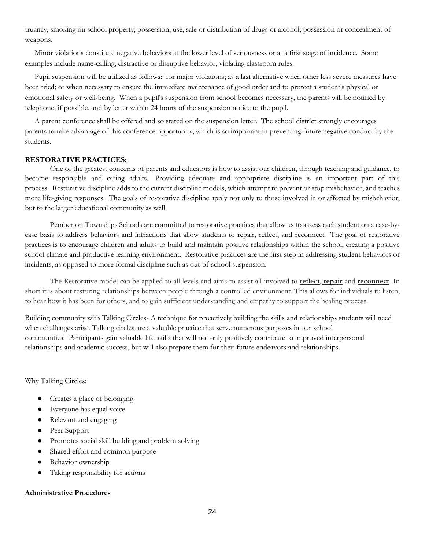truancy, smoking on school property; possession, use, sale or distribution of drugs or alcohol; possession or concealment of weapons.

 Minor violations constitute negative behaviors at the lower level of seriousness or at a first stage of incidence. Some examples include name-calling, distractive or disruptive behavior, violating classroom rules.

 Pupil suspension will be utilized as follows: for major violations; as a last alternative when other less severe measures have been tried; or when necessary to ensure the immediate maintenance of good order and to protect a student's physical or emotional safety or well-being. When a pupil's suspension from school becomes necessary, the parents will be notified by telephone, if possible, and by letter within 24 hours of the suspension notice to the pupil.

 A parent conference shall be offered and so stated on the suspension letter. The school district strongly encourages parents to take advantage of this conference opportunity, which is so important in preventing future negative conduct by the students.

#### **RESTORATIVE PRACTICES:**

One of the greatest concerns of parents and educators is how to assist our children, through teaching and guidance, to become responsible and caring adults. Providing adequate and appropriate discipline is an important part of this process. Restorative discipline adds to the current discipline models, which attempt to prevent or stop misbehavior, and teaches more life-giving responses. The goals of restorative discipline apply not only to those involved in or affected by misbehavior, but to the larger educational community as well.

Pemberton Townships Schools are committed to restorative practices that allow us to assess each student on a case-bycase basis to address behaviors and infractions that allow students to repair, reflect, and reconnect. The goal of restorative practices is to encourage children and adults to build and maintain positive relationships within the school, creating a positive school climate and productive learning environment. Restorative practices are the first step in addressing student behaviors or incidents, as opposed to more formal discipline such as out-of-school suspension.

The Restorative model can be applied to all levels and aims to assist all involved to **reflect**, **repair** and **reconnect**. In short it is about restoring relationships between people through a controlled environment. This allows for individuals to listen, to hear how it has been for others, and to gain sufficient understanding and empathy to support the healing process.

Building community with Talking Circles- A technique for proactively building the skills and relationships students will need when challenges arise. Talking circles are a valuable practice that serve numerous purposes in our school communities. Participants gain valuable life skills that will not only positively contribute to improved interpersonal relationships and academic success, but will also prepare them for their future endeavors and relationships.

Why Talking Circles:

- Creates a place of belonging
- Everyone has equal voice
- Relevant and engaging
- Peer Support
- Promotes social skill building and problem solving
- Shared effort and common purpose
- Behavior ownership
- Taking responsibility for actions

## **Administrative Procedures**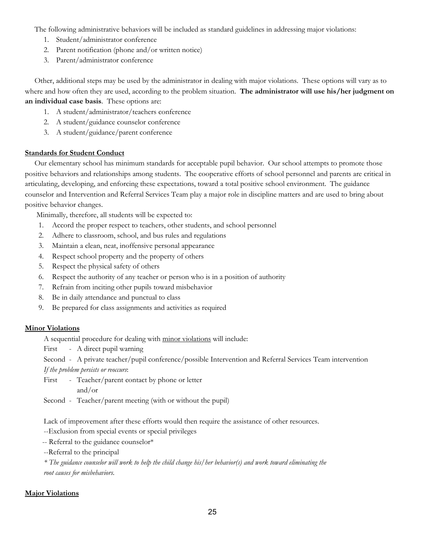The following administrative behaviors will be included as standard guidelines in addressing major violations:

- 1. Student/administrator conference
- 2. Parent notification (phone and/or written notice)
- 3. Parent/administrator conference

 Other, additional steps may be used by the administrator in dealing with major violations. These options will vary as to where and how often they are used, according to the problem situation. **The administrator will use his/her judgment on an individual case basis**. These options are:

- 1. A student/administrator/teachers conference
- 2. A student/guidance counselor conference
- 3. A student/guidance/parent conference

## **Standards for Student Conduct**

 Our elementary school has minimum standards for acceptable pupil behavior. Our school attempts to promote those positive behaviors and relationships among students. The cooperative efforts of school personnel and parents are critical in articulating, developing, and enforcing these expectations, toward a total positive school environment. The guidance counselor and Intervention and Referral Services Team play a major role in discipline matters and are used to bring about positive behavior changes.

Minimally, therefore, all students will be expected to:

- 1. Accord the proper respect to teachers, other students, and school personnel
- 2. Adhere to classroom, school, and bus rules and regulations
- 3. Maintain a clean, neat, inoffensive personal appearance
- 4. Respect school property and the property of others
- 5. Respect the physical safety of others
- 6. Respect the authority of any teacher or person who is in a position of authority
- 7. Refrain from inciting other pupils toward misbehavior
- 8. Be in daily attendance and punctual to class
- 9. Be prepared for class assignments and activities as required

## **Minor Violations**

A sequential procedure for dealing with minor violations will include:

First - A direct pupil warning

Second - A private teacher/pupil conference/possible Intervention and Referral Services Team intervention

*If the problem persists or reoccurs*:

First - Teacher/parent contact by phone or letter and/or

Second - Teacher/parent meeting (with or without the pupil)

Lack of improvement after these efforts would then require the assistance of other resources.

--Exclusion from special events or special privileges

-- Referral to the guidance counselor\*

--Referral to the principal

*\* The guidance counselor will work to help the child change his/her behavior(s) and work toward eliminating the root causes for misbehaviors.*

## **Major Violations**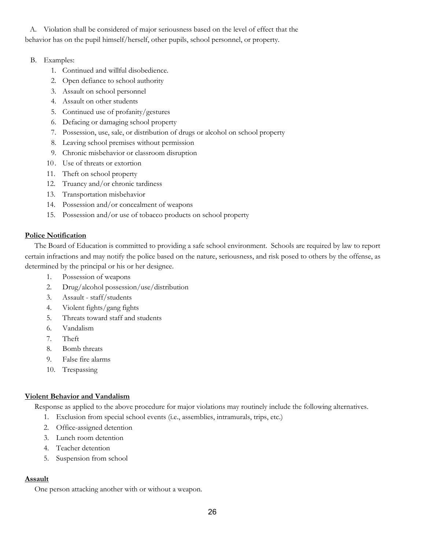A. Violation shall be considered of major seriousness based on the level of effect that the behavior has on the pupil himself/herself, other pupils, school personnel, or property.

## B. Examples:

- 1. Continued and willful disobedience.
- 2. Open defiance to school authority
- 3. Assault on school personnel
- 4. Assault on other students
- 5. Continued use of profanity/gestures
- 6. Defacing or damaging school property
- 7. Possession, use, sale, or distribution of drugs or alcohol on school property
- 8. Leaving school premises without permission
- 9. Chronic misbehavior or classroom disruption
- 10. Use of threats or extortion
- 11. Theft on school property
- 12. Truancy and/or chronic tardiness
- 13. Transportation misbehavior
- 14. Possession and/or concealment of weapons
- 15. Possession and/or use of tobacco products on school property

## **Police Notification**

 The Board of Education is committed to providing a safe school environment. Schools are required by law to report certain infractions and may notify the police based on the nature, seriousness, and risk posed to others by the offense, as determined by the principal or his or her designee.

- 1. Possession of weapons
- 2. Drug/alcohol possession/use/distribution
- 3. Assault staff/students
- 4. Violent fights/gang fights
- 5. Threats toward staff and students
- 6. Vandalism
- 7. Theft
- 8. Bomb threats
- 9. False fire alarms
- 10. Trespassing

## **Violent Behavior and Vandalism**

Response as applied to the above procedure for major violations may routinely include the following alternatives.

- 1. Exclusion from special school events (i.e., assemblies, intramurals, trips, etc.)
- 2. Office-assigned detention
- 3. Lunch room detention
- 4. Teacher detention
- 5. Suspension from school

## **Assault**

One person attacking another with or without a weapon.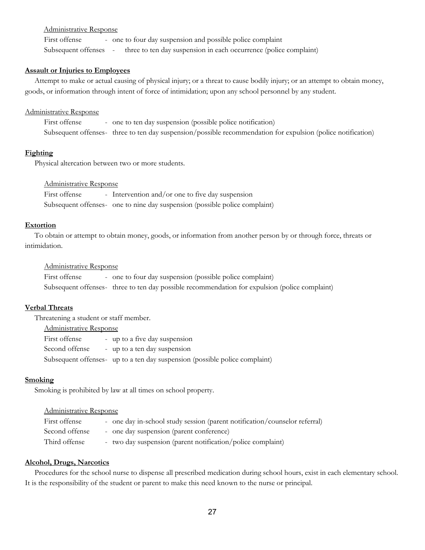#### Administrative Response

First offense - one to four day suspension and possible police complaint Subsequent offenses - three to ten day suspension in each occurrence (police complaint)

#### **Assault or Injuries to Employees**

 Attempt to make or actual causing of physical injury; or a threat to cause bodily injury; or an attempt to obtain money, goods, or information through intent of force of intimidation; upon any school personnel by any student.

#### Administrative Response

First offense - one to ten day suspension (possible police notification) Subsequent offenses- three to ten day suspension/possible recommendation for expulsion (police notification)

#### **Fighting**

Physical altercation between two or more students.

## Administrative Response

First offense - Intervention and/or one to five day suspension Subsequent offenses- one to nine day suspension (possible police complaint)

#### **Extortion**

 To obtain or attempt to obtain money, goods, or information from another person by or through force, threats or intimidation.

#### Administrative Response

First offense - one to four day suspension (possible police complaint) Subsequent offenses- three to ten day possible recommendation for expulsion (police complaint)

#### **Verbal Threats**

 Threatening a student or staff member. Administrative Response First offense - up to a five day suspension Second offense - up to a ten day suspension Subsequent offenses- up to a ten day suspension (possible police complaint)

#### **Smoking**

Smoking is prohibited by law at all times on school property.

#### Administrative Response

| First offense  | - one day in-school study session (parent notification/counselor referral) |
|----------------|----------------------------------------------------------------------------|
| Second offense | - one day suspension (parent conference)                                   |
| Third offense  | - two day suspension (parent notification/police complaint)                |

#### **Alcohol, Drugs, Narcotics**

 Procedures for the school nurse to dispense all prescribed medication during school hours, exist in each elementary school. It is the responsibility of the student or parent to make this need known to the nurse or principal.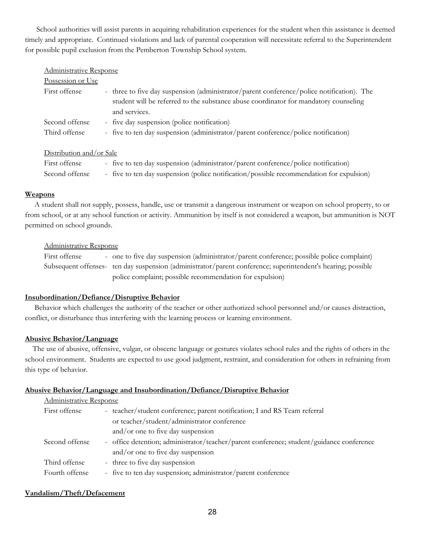School authorities will assist parents in acquiring rehabilitation experiences for the student when this assistance is deemed timely and appropriate. Continued violations and lack of parental cooperation will necessitate referral to the Superintendent for possible pupil exclusion from the Pemberton Township School system.

|  | Administrative Response |
|--|-------------------------|
|  |                         |
|  |                         |

| Possession or Use |                                                                                                                                                                                   |
|-------------------|-----------------------------------------------------------------------------------------------------------------------------------------------------------------------------------|
| First offense     | - three to five day suspension (administrator/parent conference/police notification). The<br>student will be referred to the substance abuse coordinator for mandatory counseling |
|                   | and services.                                                                                                                                                                     |
| Second offense    | - five day suspension (police notification)                                                                                                                                       |
| Third offense     | - five to ten day suspension (administrator/parent conference/police notification)                                                                                                |

## Distribution and/or Sale

| First offense  | - five to ten day suspension (administrator/parent conference/police notification)       |
|----------------|------------------------------------------------------------------------------------------|
| Second offense | - five to ten day suspension (police notification/possible recommendation for expulsion) |

## **Weapons**

 A student shall not supply, possess, handle, use or transmit a dangerous instrument or weapon on school property, to or from school, or at any school function or activity. Ammunition by itself is not considered a weapon, but ammunition is NOT permitted on school grounds.

## Administrative Response

First offense - one to five day suspension (administrator/parent conference; possible police complaint) Subsequent offenses- ten day suspension (administrator/parent conference; superintendent's hearing; possible police complaint; possible recommendation for expulsion)

## **Insubordination/Defiance/Disruptive Behavior**

 Behavior which challenges the authority of the teacher or other authorized school personnel and/or causes distraction, conflict, or disturbance thus interfering with the learning process or learning environment.

## **Abusive Behavior/Language**

 The use of abusive, offensive, vulgar, or obscene language or gestures violates school rules and the rights of others in the school environment. Students are expected to use good judgment, restraint, and consideration for others in refraining from this type of behavior.

## **Abusive Behavior/Language and Insubordination/Defiance/Disruptive Behavior**

## Administrative Response

| First offense  | - teacher/student conference; parent notification; I and RS Team referral                |
|----------------|------------------------------------------------------------------------------------------|
|                | or teacher/student/administrator conference                                              |
|                | and/or one to five day suspension                                                        |
| Second offense | - office detention; administrator/teacher/parent conference; student/guidance conference |
|                | and/or one to five day suspension                                                        |
| Third offense  | - three to five day suspension                                                           |
| Fourth offense | - five to ten day suspension; administrator/parent conference                            |

## **Vandalism/Theft/Defacement**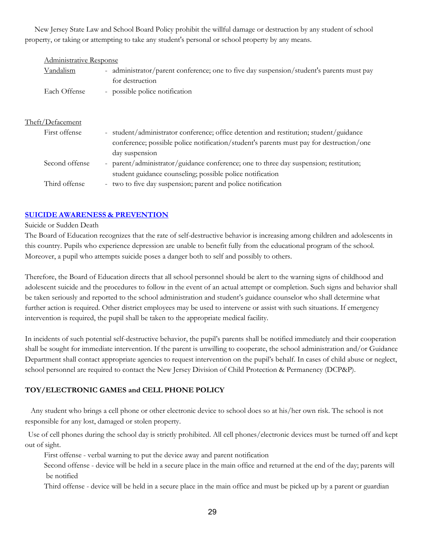New Jersey State Law and School Board Policy prohibit the willful damage or destruction by any student of school property, or taking or attempting to take any student's personal or school property by any means.

| <b>Administrative Response</b> |                                                                                                                                                                                                   |  |  |
|--------------------------------|---------------------------------------------------------------------------------------------------------------------------------------------------------------------------------------------------|--|--|
| Vandalism                      | - administrator/parent conference; one to five day suspension/student's parents must pay<br>for destruction                                                                                       |  |  |
| Each Offense                   | - possible police notification                                                                                                                                                                    |  |  |
| Theft/Defacement               |                                                                                                                                                                                                   |  |  |
| First offense                  | student/administrator conference; office detention and restitution; student/guidance<br>conference; possible police notification/student's parents must pay for destruction/one<br>day suspension |  |  |
| Second offense                 | - parent/administrator/guidance conference; one to three day suspension; restitution;<br>student guidance counseling; possible police notification                                                |  |  |
| Third offense                  | two to five day suspension; parent and police notification<br>$\sim$                                                                                                                              |  |  |

## <span id="page-28-0"></span>**SUICIDE AWARENESS & [PREVENTION](https://www.straussesmay.com/seportal/Public/DistrictPolicy.aspx?policyid=5350&search=SUICIDE+AWARENESS+%26+PREVENTION&id=dbcfea39423746028f70325837bfa033)**

#### Suicide or Sudden Death

The Board of Education recognizes that the rate of self-destructive behavior is increasing among children and adolescents in this country. Pupils who experience depression are unable to benefit fully from the educational program of the school. Moreover, a pupil who attempts suicide poses a danger both to self and possibly to others.

Therefore, the Board of Education directs that all school personnel should be alert to the warning signs of childhood and adolescent suicide and the procedures to follow in the event of an actual attempt or completion. Such signs and behavior shall be taken seriously and reported to the school administration and student's guidance counselor who shall determine what further action is required. Other district employees may be used to intervene or assist with such situations. If emergency intervention is required, the pupil shall be taken to the appropriate medical facility.

In incidents of such potential self-destructive behavior, the pupil's parents shall be notified immediately and their cooperation shall be sought for immediate intervention. If the parent is unwilling to cooperate, the school administration and/or Guidance Department shall contact appropriate agencies to request intervention on the pupil's behalf. In cases of child abuse or neglect, school personnel are required to contact the New Jersey Division of Child Protection & Permanency (DCP&P).

## <span id="page-28-1"></span>**TOY/ELECTRONIC GAMES and CELL PHONE POLICY**

 Any student who brings a cell phone or other electronic device to school does so at his/her own risk. The school is not responsible for any lost, damaged or stolen property.

Use of cell phones during the school day is strictly prohibited. All cell phones/electronic devices must be turned off and kept out of sight.

First offense - verbal warning to put the device away and parent notification

Second offense - device will be held in a secure place in the main office and returned at the end of the day; parents will be notified

Third offense - device will be held in a secure place in the main office and must be picked up by a parent or guardian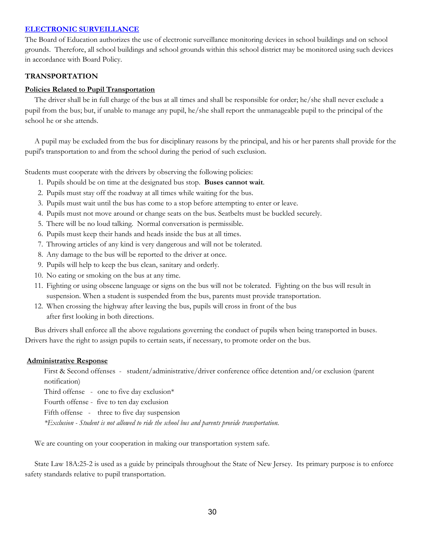## **[ELECTRONIC SURVEILLANCE](https://www.straussesmay.com/seportal/Public/DistrictPolicy.aspx?policyid=7441&search=electronic+surveillance&id=dbcfea39423746028f70325837bfa033)**

The Board of Education authorizes the use of electronic surveillance monitoring devices in school buildings and on school grounds. Therefore, all school buildings and school grounds within this school district may be monitored using such devices in accordance with Board Policy.

## <span id="page-29-0"></span>**TRANSPORTATION**

## **Policies Related to Pupil Transportation**

 The driver shall be in full charge of the bus at all times and shall be responsible for order; he/she shall never exclude a pupil from the bus; but, if unable to manage any pupil, he/she shall report the unmanageable pupil to the principal of the school he or she attends.

 A pupil may be excluded from the bus for disciplinary reasons by the principal, and his or her parents shall provide for the pupil's transportation to and from the school during the period of such exclusion.

Students must cooperate with the drivers by observing the following policies:

- 1. Pupils should be on time at the designated bus stop. **Buses cannot wait**.
- 2. Pupils must stay off the roadway at all times while waiting for the bus.
- 3. Pupils must wait until the bus has come to a stop before attempting to enter or leave.
- 4. Pupils must not move around or change seats on the bus. Seatbelts must be buckled securely.
- 5. There will be no loud talking. Normal conversation is permissible.
- 6. Pupils must keep their hands and heads inside the bus at all times.
- 7. Throwing articles of any kind is very dangerous and will not be tolerated.
- 8. Any damage to the bus will be reported to the driver at once.
- 9. Pupils will help to keep the bus clean, sanitary and orderly.
- 10. No eating or smoking on the bus at any time.
- 11. Fighting or using obscene language or signs on the bus will not be tolerated. Fighting on the bus will result in suspension. When a student is suspended from the bus, parents must provide transportation.
- 12. When crossing the highway after leaving the bus, pupils will cross in front of the bus after first looking in both directions.

 Bus drivers shall enforce all the above regulations governing the conduct of pupils when being transported in buses. Drivers have the right to assign pupils to certain seats, if necessary, to promote order on the bus.

#### **Administrative Response**

First & Second offenses - student/administrative/driver conference office detention and/or exclusion (parent notification)

Third offense - one to five day exclusion $*$ 

Fourth offense - five to ten day exclusion

Fifth offense - three to five day suspension

*\*Exclusion - Student is not allowed to ride the school bus and parents provide transportation.*

We are counting on your cooperation in making our transportation system safe.

 State Law 18A:25-2 is used as a guide by principals throughout the State of New Jersey. Its primary purpose is to enforce safety standards relative to pupil transportation.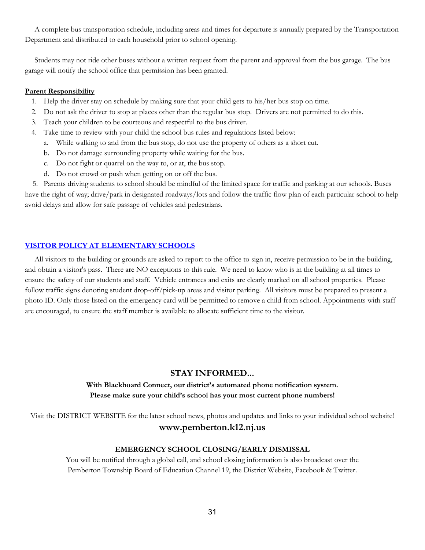A complete bus transportation schedule, including areas and times for departure is annually prepared by the Transportation Department and distributed to each household prior to school opening.

 Students may not ride other buses without a written request from the parent and approval from the bus garage. The bus garage will notify the school office that permission has been granted.

#### **Parent Responsibility**

- 1. Help the driver stay on schedule by making sure that your child gets to his/her bus stop on time.
- 2. Do not ask the driver to stop at places other than the regular bus stop. Drivers are not permitted to do this.
- 3. Teach your children to be courteous and respectful to the bus driver.
- 4. Take time to review with your child the school bus rules and regulations listed below:
	- a. While walking to and from the bus stop, do not use the property of others as a short cut.
	- b. Do not damage surrounding property while waiting for the bus.
	- c. Do not fight or quarrel on the way to, or at, the bus stop.
	- d. Do not crowd or push when getting on or off the bus.

 5. Parents driving students to school should be mindful of the limited space for traffic and parking at our schools. Buses have the right of way; drive/park in designated roadways/lots and follow the traffic flow plan of each particular school to help avoid delays and allow for safe passage of vehicles and pedestrians.

## <span id="page-30-0"></span>**[VISITOR POLICY AT ELEMENTARY SCHOOLS](https://www.straussesmay.com/seportal/Public/DistrictPolicy.aspx?policyid=9150&search=visitor+policy&id=dbcfea39423746028f70325837bfa033)**

 All visitors to the building or grounds are asked to report to the office to sign in, receive permission to be in the building, and obtain a visitor's pass. There are NO exceptions to this rule. We need to know who is in the building at all times to ensure the safety of our students and staff. Vehicle entrances and exits are clearly marked on all school properties. Please follow traffic signs denoting student drop-off/pick-up areas and visitor parking. All visitors must be prepared to present a photo ID. Only those listed on the emergency card will be permitted to remove a child from school. Appointments with staff are encouraged, to ensure the staff member is available to allocate sufficient time to the visitor.

## **STAY INFORMED...**

## **With Blackboard Connect, our district's automated phone notification system. Please make sure your child's school has your most current phone numbers!**

Visit the DISTRICT WEBSITE for the latest school news, photos and updates and links to your individual school website! **www.pemberton.k12.nj.us**

#### **EMERGENCY SCHOOL CLOSING/EARLY DISMISSAL**

You will be notified through a global call, and school closing information is also broadcast over the Pemberton Township Board of Education Channel 19, the District Website, Facebook & Twitter.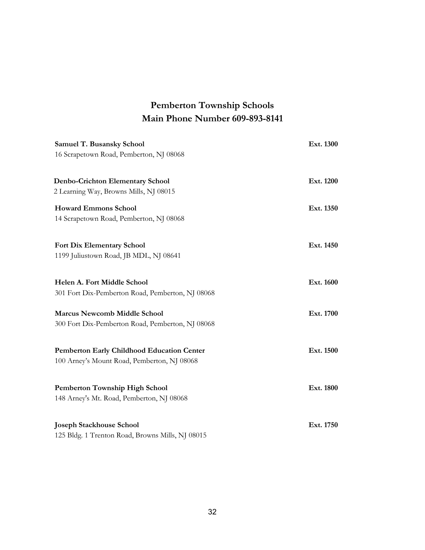## **Pemberton Township Schools Main Phone Number 609-893-8141**

| Samuel T. Busansky School<br>16 Scrapetown Road, Pemberton, NJ 08068                             | Ext. 1300 |
|--------------------------------------------------------------------------------------------------|-----------|
| <b>Denbo-Crichton Elementary School</b><br>2 Learning Way, Browns Mills, NJ 08015                | Ext. 1200 |
| <b>Howard Emmons School</b><br>14 Scrapetown Road, Pemberton, NJ 08068                           | Ext. 1350 |
| <b>Fort Dix Elementary School</b><br>1199 Juliustown Road, JB MDL, NJ 08641                      | Ext. 1450 |
| Helen A. Fort Middle School<br>301 Fort Dix-Pemberton Road, Pemberton, NJ 08068                  | Ext. 1600 |
| <b>Marcus Newcomb Middle School</b><br>300 Fort Dix-Pemberton Road, Pemberton, NJ 08068          | Ext. 1700 |
| <b>Pemberton Early Childhood Education Center</b><br>100 Arney's Mount Road, Pemberton, NJ 08068 | Ext. 1500 |
| Pemberton Township High School<br>148 Arney's Mt. Road, Pemberton, NJ 08068                      | Ext. 1800 |
| <b>Joseph Stackhouse School</b><br>125 Bldg. 1 Trenton Road, Browns Mills, NJ 08015              | Ext. 1750 |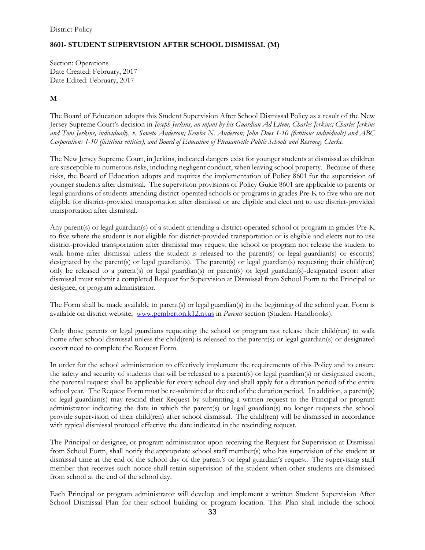## **8601- STUDENT SUPERVISION AFTER SCHOOL DISMISSAL (M)**

Section: Operations Date Created: February, 2017 Date Edited: February, 2017

## **M**

The Board of Education adopts this Student Supervision After School Dismissal Policy as a result of the New Jersey Supreme Court's decision in *Joseph Jerkins, an infant by his Guardian Ad Litem, Charles Jerkins; Charles Jerkins and Toni Jerkins, individually, v. Soweto Anderson; Kemba N. Anderson; John Does 1-10 (fictitious individuals) and ABC Corporations 1-10 (fictitious entities), and Board of Education of Pleasantville Public Schools and Rosemay Clarke*.

The New Jersey Supreme Court, in Jerkins, indicated dangers exist for younger students at dismissal as children are susceptible to numerous risks, including negligent conduct, when leaving school property. Because of these risks, the Board of Education adopts and requires the implementation of Policy 8601 for the supervision of younger students after dismissal. The supervision provisions of Policy Guide 8601 are applicable to parents or legal guardians of students attending district-operated schools or programs in grades Pre-K to five who are not eligible for district-provided transportation after dismissal or are eligible and elect not to use district-provided transportation after dismissal.

Any parent(s) or legal guardian(s) of a student attending a district-operated school or program in grades Pre-K to five where the student is not eligible for district-provided transportation or is eligible and elects not to use district-provided transportation after dismissal may request the school or program not release the student to walk home after dismissal unless the student is released to the parent(s) or legal guardian(s) or escort(s) designated by the parent(s) or legal guardian(s). The parent(s) or legal guardian(s) requesting their child(ren) only be released to a parent(s) or legal guardian(s) or parent(s) or legal guardian(s)-designated escort after dismissal must submit a completed Request for Supervision at Dismissal from School Form to the Principal or designee, or program administrator.

The Form shall be made available to parent(s) or legal guardian(s) in the beginning of the school year. Form is available on district website, [www.pemberton.k12.nj.us](http://www.pemberton.k12.nj.us/) in *Parents* section (Student Handbooks).

Only those parents or legal guardians requesting the school or program not release their child(ren) to walk home after school dismissal unless the child(ren) is released to the parent(s) or legal guardian(s) or designated escort need to complete the Request Form.

In order for the school administration to effectively implement the requirements of this Policy and to ensure the safety and security of students that will be released to a parent(s) or legal guardian(s) or designated escort, the parental request shall be applicable for every school day and shall apply for a duration period of the entire school year.The Request Form must be re-submitted at the end of the duration period. In addition, a parent(s) or legal guardian(s) may rescind their Request by submitting a written request to the Principal or program administrator indicating the date in which the parent(s) or legal guardian(s) no longer requests the school provide supervision of their child(ren) after school dismissal. The child(ren) will be dismissed in accordance with typical dismissal protocol effective the date indicated in the rescinding request.

The Principal or designee, or program administrator upon receiving the Request for Supervision at Dismissal from School Form, shall notify the appropriate school staff member(s) who has supervision of the student at dismissal time at the end of the school day of the parent's or legal guardian's request. The supervising staff member that receives such notice shall retain supervision of the student when other students are dismissed from school at the end of the school day.

Each Principal or program administrator will develop and implement a written Student Supervision After School Dismissal Plan for their school building or program location. This Plan shall include the school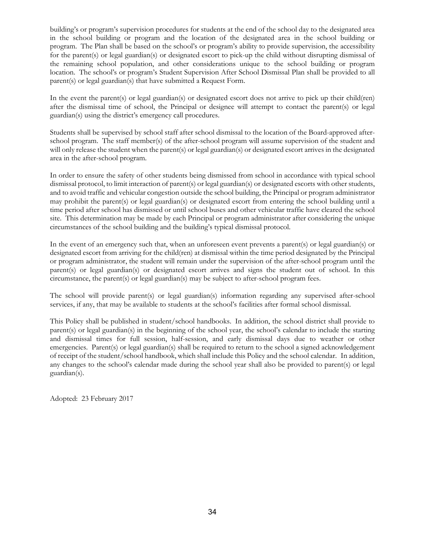building's or program's supervision procedures for students at the end of the school day to the designated area in the school building or program and the location of the designated area in the school building or program. The Plan shall be based on the school's or program's ability to provide supervision, the accessibility for the parent(s) or legal guardian(s) or designated escort to pick-up the child without disrupting dismissal of the remaining school population, and other considerations unique to the school building or program location. The school's or program's Student Supervision After School Dismissal Plan shall be provided to all parent(s) or legal guardian(s) that have submitted a Request Form.

In the event the parent(s) or legal guardian(s) or designated escort does not arrive to pick up their child(ren) after the dismissal time of school, the Principal or designee will attempt to contact the parent(s) or legal guardian(s) using the district's emergency call procedures.

Students shall be supervised by school staff after school dismissal to the location of the Board-approved afterschool program. The staff member(s) of the after-school program will assume supervision of the student and will only release the student when the parent(s) or legal guardian(s) or designated escort arrives in the designated area in the after-school program.

In order to ensure the safety of other students being dismissed from school in accordance with typical school dismissal protocol, to limit interaction of parent(s) or legal guardian(s) or designated escorts with other students, and to avoid traffic and vehicular congestion outside the school building, the Principal or program administrator may prohibit the parent(s) or legal guardian(s) or designated escort from entering the school building until a time period after school has dismissed or until school buses and other vehicular traffic have cleared the school site. This determination may be made by each Principal or program administrator after considering the unique circumstances of the school building and the building's typical dismissal protocol.

In the event of an emergency such that, when an unforeseen event prevents a parent(s) or legal guardian(s) or designated escort from arriving for the child(ren) at dismissal within the time period designated by the Principal or program administrator, the student will remain under the supervision of the after-school program until the parent(s) or legal guardian(s) or designated escort arrives and signs the student out of school. In this circumstance, the parent(s) or legal guardian(s) may be subject to after-school program fees.

The school will provide parent(s) or legal guardian(s) information regarding any supervised after-school services, if any, that may be available to students at the school's facilities after formal school dismissal.

This Policy shall be published in student/school handbooks. In addition, the school district shall provide to parent(s) or legal guardian(s) in the beginning of the school year, the school's calendar to include the starting and dismissal times for full session, half-session, and early dismissal days due to weather or other emergencies. Parent(s) or legal guardian(s) shall be required to return to the school a signed acknowledgement of receipt of the student/school handbook, which shall include this Policy and the school calendar. In addition, any changes to the school's calendar made during the school year shall also be provided to parent(s) or legal guardian(s).

Adopted: 23 February 2017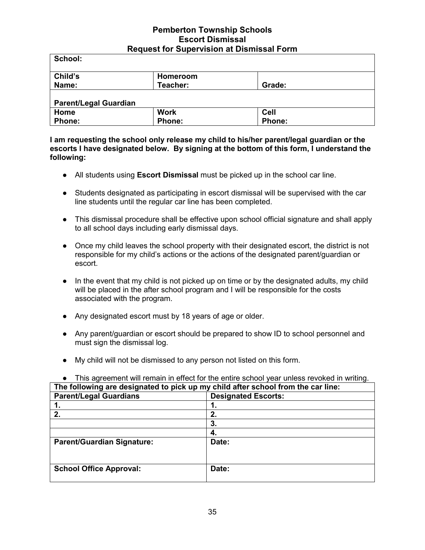## **Pemberton Township Schools Escort Dismissal Request for Supervision at Dismissal Form**

| School:                      |               |               |  |
|------------------------------|---------------|---------------|--|
| Child's                      | Homeroom      |               |  |
| Name:                        | Teacher:      | Grade:        |  |
| <b>Parent/Legal Guardian</b> |               |               |  |
| Home                         | <b>Work</b>   | <b>Cell</b>   |  |
| <b>Phone:</b>                | <b>Phone:</b> | <b>Phone:</b> |  |

**I am requesting the school only release my child to his/her parent/legal guardian or the escorts I have designated below. By signing at the bottom of this form, I understand the following:**

- All students using **Escort Dismissal** must be picked up in the school car line.
- Students designated as participating in escort dismissal will be supervised with the car line students until the regular car line has been completed.
- This dismissal procedure shall be effective upon school official signature and shall apply to all school days including early dismissal days.
- Once my child leaves the school property with their designated escort, the district is not responsible for my child's actions or the actions of the designated parent/guardian or escort.
- In the event that my child is not picked up on time or by the designated adults, my child will be placed in the after school program and I will be responsible for the costs associated with the program.
- Any designated escort must by 18 years of age or older.
- Any parent/guardian or escort should be prepared to show ID to school personnel and must sign the dismissal log.
- My child will not be dismissed to any person not listed on this form.

|                                                                                  | . דוווט מקופטוווטות אזוווירטוומוודוווי טווטט וווי טווט טוווט טווטטו אָפֿטר מוויסט ופאטונטט וווי אזומווע |  |  |  |
|----------------------------------------------------------------------------------|---------------------------------------------------------------------------------------------------------|--|--|--|
| The following are designated to pick up my child after school from the car line: |                                                                                                         |  |  |  |
| <b>Parent/Legal Guardians</b><br><b>Designated Escorts:</b>                      |                                                                                                         |  |  |  |
|                                                                                  |                                                                                                         |  |  |  |
| 2.                                                                               | 2.                                                                                                      |  |  |  |
|                                                                                  | 3.                                                                                                      |  |  |  |
|                                                                                  | 4.                                                                                                      |  |  |  |
| <b>Parent/Guardian Signature:</b>                                                | Date:                                                                                                   |  |  |  |
|                                                                                  |                                                                                                         |  |  |  |
|                                                                                  |                                                                                                         |  |  |  |
| <b>School Office Approval:</b>                                                   | Date:                                                                                                   |  |  |  |
|                                                                                  |                                                                                                         |  |  |  |

## ● This agreement will remain in effect for the entire school year unless revoked in writing.